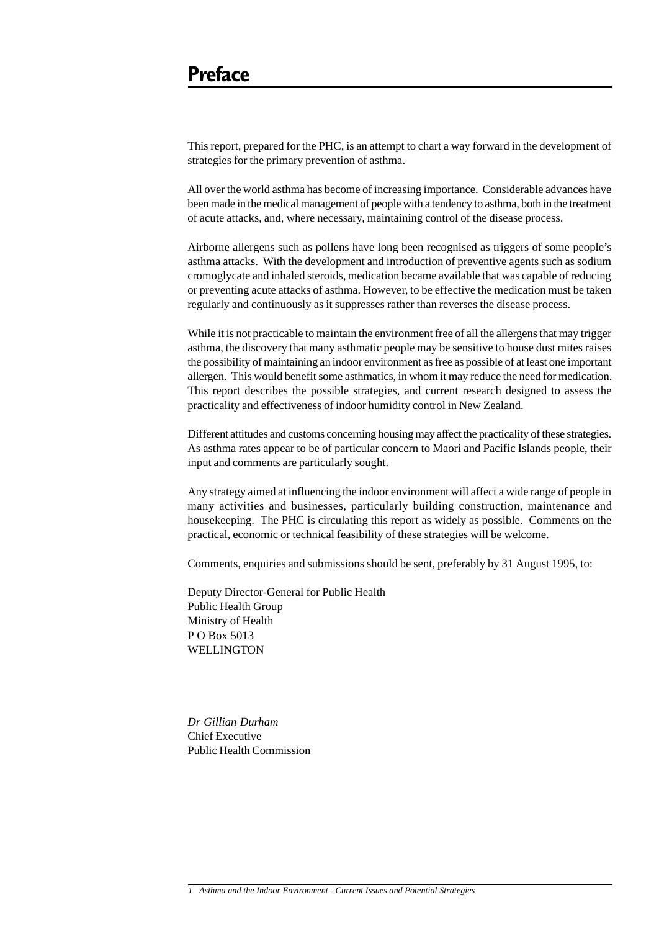This report, prepared for the PHC, is an attempt to chart a way forward in the development of strategies for the primary prevention of asthma.

All over the world asthma has become of increasing importance. Considerable advances have been made in the medical management of people with a tendency to asthma, both in the treatment of acute attacks, and, where necessary, maintaining control of the disease process.

Airborne allergens such as pollens have long been recognised as triggers of some people's asthma attacks. With the development and introduction of preventive agents such as sodium cromoglycate and inhaled steroids, medication became available that was capable of reducing or preventing acute attacks of asthma. However, to be effective the medication must be taken regularly and continuously as it suppresses rather than reverses the disease process.

While it is not practicable to maintain the environment free of all the allergens that may trigger asthma, the discovery that many asthmatic people may be sensitive to house dust mites raises the possibility of maintaining an indoor environment as free as possible of at least one important allergen. This would benefit some asthmatics, in whom it may reduce the need for medication. This report describes the possible strategies, and current research designed to assess the practicality and effectiveness of indoor humidity control in New Zealand.

Different attitudes and customs concerning housing may affect the practicality of these strategies. As asthma rates appear to be of particular concern to Maori and Pacific Islands people, their input and comments are particularly sought.

Any strategy aimed at influencing the indoor environment will affect a wide range of people in many activities and businesses, particularly building construction, maintenance and housekeeping. The PHC is circulating this report as widely as possible. Comments on the practical, economic or technical feasibility of these strategies will be welcome.

Comments, enquiries and submissions should be sent, preferably by 31 August 1995, to:

Deputy Director-General for Public Health Public Health Group Ministry of Health P O Box 5013 **WELLINGTON** 

*Dr Gillian Durham* Chief Executive Public Health Commission

*<sup>1</sup> Asthma and the Indoor Environment - Current Issues and Potential Strategies*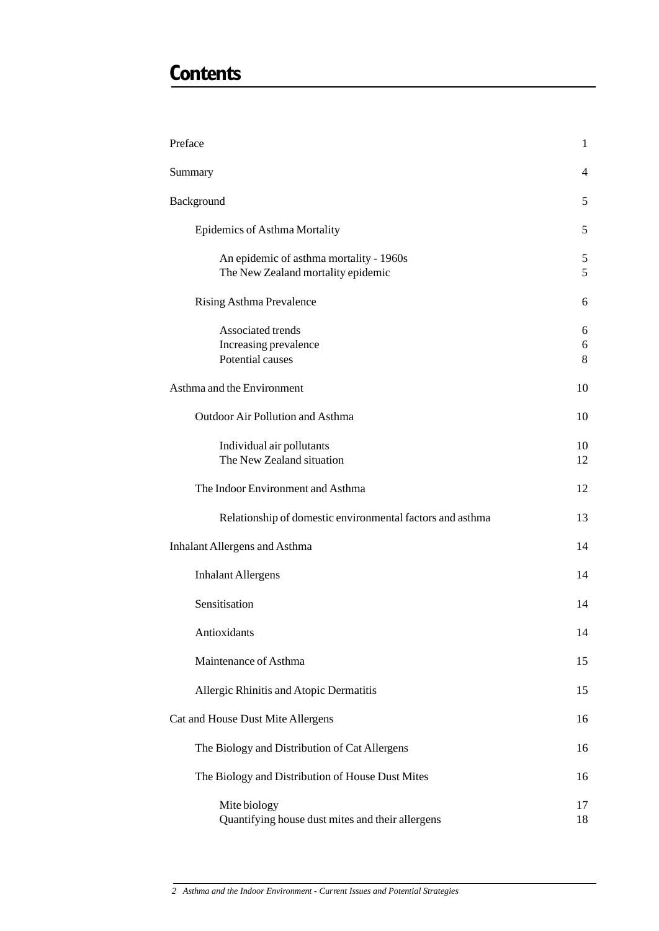# **Contents**

| Preface                                                                       | 1           |
|-------------------------------------------------------------------------------|-------------|
| Summary                                                                       | 4           |
| Background                                                                    | 5           |
| Epidemics of Asthma Mortality                                                 | 5           |
| An epidemic of asthma mortality - 1960s<br>The New Zealand mortality epidemic | 5<br>5      |
| Rising Asthma Prevalence                                                      | 6           |
| Associated trends<br>Increasing prevalence<br>Potential causes                | 6<br>6<br>8 |
| Asthma and the Environment                                                    | 10          |
| Outdoor Air Pollution and Asthma                                              | 10          |
| Individual air pollutants<br>The New Zealand situation                        | 10<br>12    |
| The Indoor Environment and Asthma                                             | 12          |
| Relationship of domestic environmental factors and asthma                     | 13          |
| <b>Inhalant Allergens and Asthma</b>                                          | 14          |
| <b>Inhalant Allergens</b>                                                     | 14          |
| Sensitisation                                                                 | 14          |
| Antioxidants                                                                  | 14          |
| Maintenance of Asthma                                                         | 15          |
| Allergic Rhinitis and Atopic Dermatitis                                       | 15          |
| Cat and House Dust Mite Allergens                                             | 16          |
| The Biology and Distribution of Cat Allergens                                 | 16          |
| The Biology and Distribution of House Dust Mites                              | 16          |
| Mite biology<br>Quantifying house dust mites and their allergens              | 17<br>18    |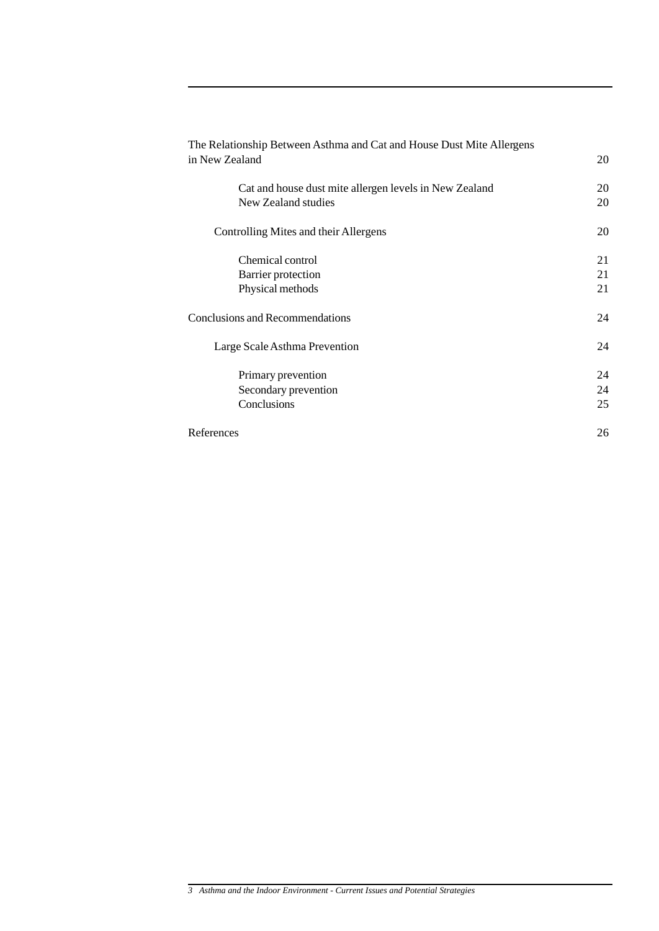| The Relationship Between Asthma and Cat and House Dust Mite Allergens |    |
|-----------------------------------------------------------------------|----|
| in New Zealand                                                        | 20 |
| Cat and house dust mite allergen levels in New Zealand                | 20 |
| New Zealand studies                                                   | 20 |
| Controlling Mites and their Allergens                                 | 20 |
| Chemical control                                                      | 21 |
| Barrier protection                                                    | 21 |
| Physical methods                                                      | 21 |
| <b>Conclusions and Recommendations</b>                                | 24 |
| Large Scale Asthma Prevention                                         | 24 |
| Primary prevention                                                    | 24 |
| Secondary prevention                                                  | 24 |
| Conclusions                                                           | 25 |
| References                                                            | 26 |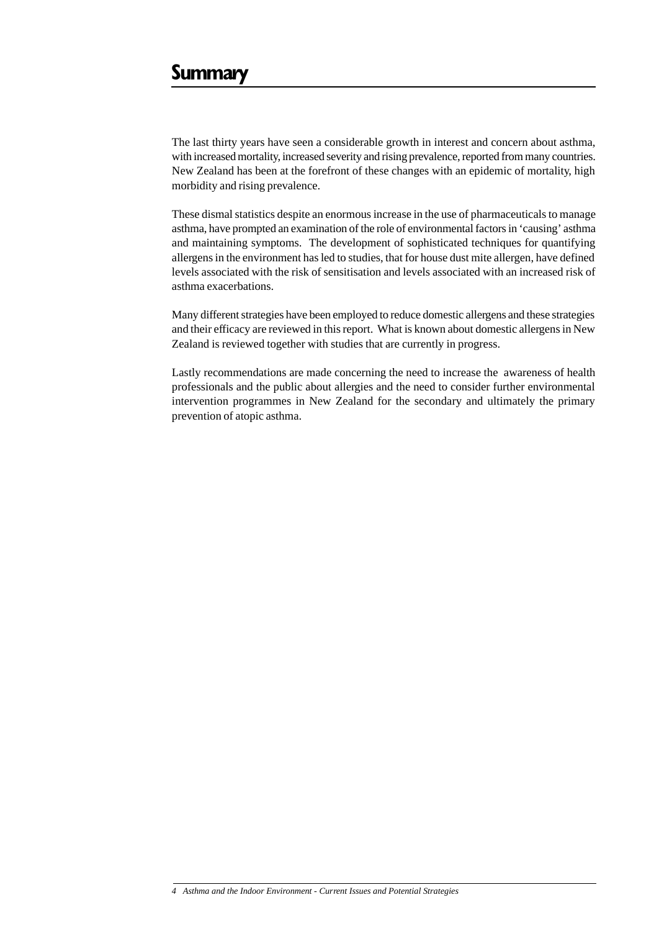The last thirty years have seen a considerable growth in interest and concern about asthma, with increased mortality, increased severity and rising prevalence, reported from many countries. New Zealand has been at the forefront of these changes with an epidemic of mortality, high morbidity and rising prevalence.

These dismal statistics despite an enormous increase in the use of pharmaceuticals to manage asthma, have prompted an examination of the role of environmental factors in 'causing' asthma and maintaining symptoms. The development of sophisticated techniques for quantifying allergens in the environment has led to studies, that for house dust mite allergen, have defined levels associated with the risk of sensitisation and levels associated with an increased risk of asthma exacerbations.

Many different strategies have been employed to reduce domestic allergens and these strategies and their efficacy are reviewed in this report. What is known about domestic allergens in New Zealand is reviewed together with studies that are currently in progress.

Lastly recommendations are made concerning the need to increase the awareness of health professionals and the public about allergies and the need to consider further environmental intervention programmes in New Zealand for the secondary and ultimately the primary prevention of atopic asthma.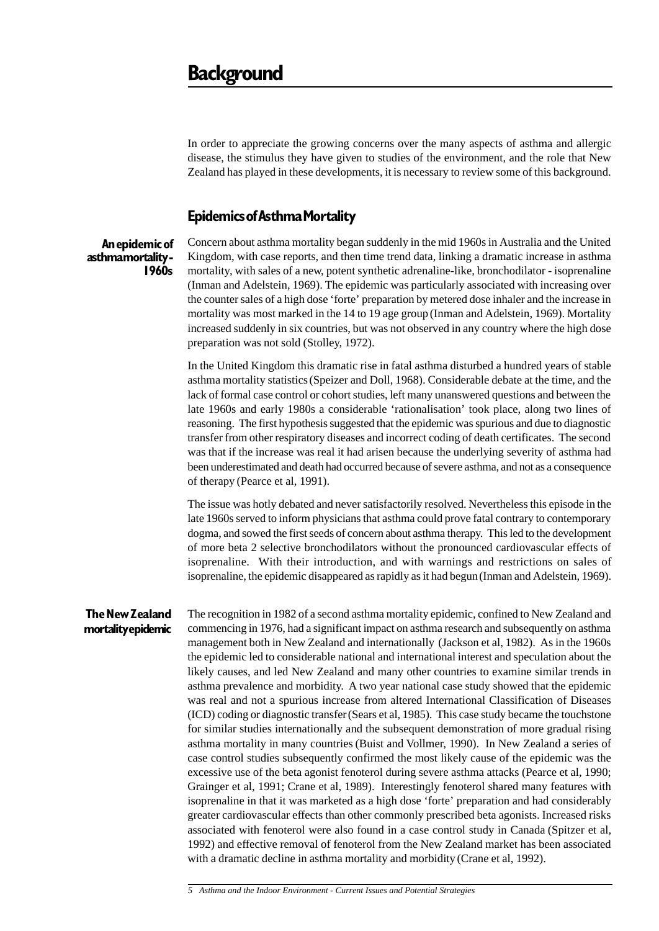In order to appreciate the growing concerns over the many aspects of asthma and allergic disease, the stimulus they have given to studies of the environment, and the role that New Zealand has played in these developments, it is necessary to review some of this background.

### **Epidemics of Asthma Mortality**

**An epidemic of asthma mortality - 1960s**

Concern about asthma mortality began suddenly in the mid 1960s in Australia and the United Kingdom, with case reports, and then time trend data, linking a dramatic increase in asthma mortality, with sales of a new, potent synthetic adrenaline-like, bronchodilator - isoprenaline (Inman and Adelstein, 1969). The epidemic was particularly associated with increasing over the counter sales of a high dose 'forte' preparation by metered dose inhaler and the increase in mortality was most marked in the 14 to 19 age group (Inman and Adelstein, 1969). Mortality increased suddenly in six countries, but was not observed in any country where the high dose preparation was not sold (Stolley, 1972).

In the United Kingdom this dramatic rise in fatal asthma disturbed a hundred years of stable asthma mortality statistics(Speizer and Doll, 1968). Considerable debate at the time, and the lack of formal case control or cohort studies, left many unanswered questions and between the late 1960s and early 1980s a considerable 'rationalisation' took place, along two lines of reasoning. The first hypothesis suggested that the epidemic was spurious and due to diagnostic transfer from other respiratory diseases and incorrect coding of death certificates. The second was that if the increase was real it had arisen because the underlying severity of asthma had been underestimated and death had occurred because of severe asthma, and not as a consequence of therapy (Pearce et al, 1991).

The issue was hotly debated and never satisfactorily resolved. Nevertheless this episode in the late 1960s served to inform physicians that asthma could prove fatal contrary to contemporary dogma, and sowed the first seeds of concern about asthma therapy. This led to the development of more beta 2 selective bronchodilators without the pronounced cardiovascular effects of isoprenaline. With their introduction, and with warnings and restrictions on sales of isoprenaline, the epidemic disappeared as rapidly as it had begun(Inman and Adelstein, 1969).

### **The New Zealand mortality epidemic**

The recognition in 1982 of a second asthma mortality epidemic, confined to New Zealand and commencing in 1976, had a significant impact on asthma research and subsequently on asthma management both in New Zealand and internationally (Jackson et al, 1982). As in the 1960s the epidemic led to considerable national and international interest and speculation about the likely causes, and led New Zealand and many other countries to examine similar trends in asthma prevalence and morbidity. A two year national case study showed that the epidemic was real and not a spurious increase from altered International Classification of Diseases (ICD) coding or diagnostic transfer(Sears et al, 1985). This case study became the touchstone for similar studies internationally and the subsequent demonstration of more gradual rising asthma mortality in many countries (Buist and Vollmer, 1990). In New Zealand a series of case control studies subsequently confirmed the most likely cause of the epidemic was the excessive use of the beta agonist fenoterol during severe asthma attacks (Pearce et al, 1990; Grainger et al, 1991; Crane et al, 1989). Interestingly fenoterol shared many features with isoprenaline in that it was marketed as a high dose 'forte' preparation and had considerably greater cardiovascular effects than other commonly prescribed beta agonists. Increased risks associated with fenoterol were also found in a case control study in Canada (Spitzer et al, 1992) and effective removal of fenoterol from the New Zealand market has been associated with a dramatic decline in asthma mortality and morbidity (Crane et al, 1992).

*5 Asthma and the Indoor Environment - Current Issues and Potential Strategies*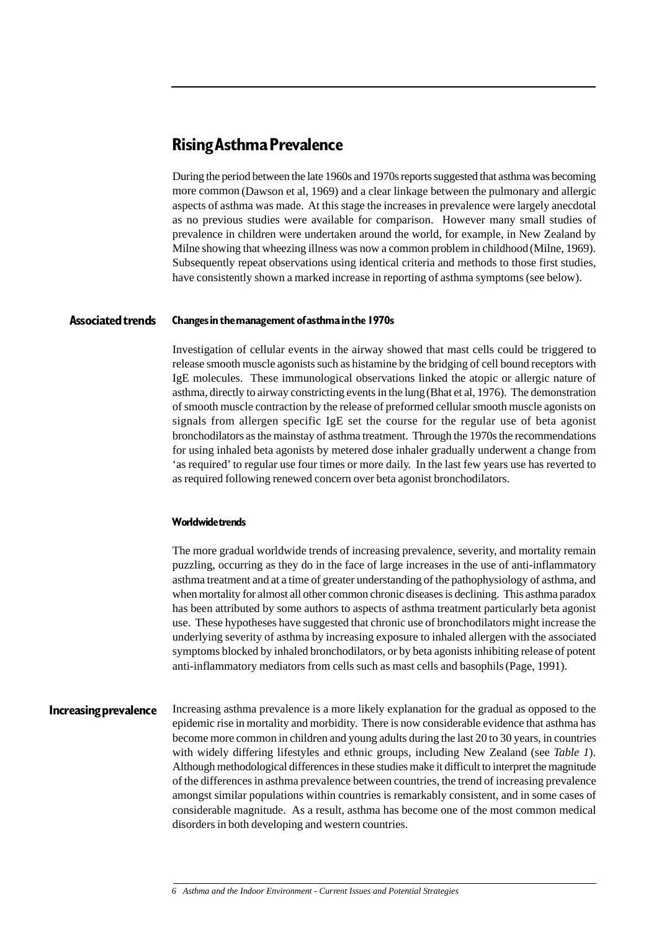## **Rising Asthma Prevalence**

During the period between the late 1960s and 1970s reports suggested that asthma was becoming more common (Dawson et al, 1969) and a clear linkage between the pulmonary and allergic aspects of asthma was made. At this stage the increases in prevalence were largely anecdotal as no previous studies were available for comparison. However many small studies of prevalence in children were undertaken around the world, for example, in New Zealand by Milne showing that wheezing illness was now a common problem in childhood (Milne, 1969). Subsequently repeat observations using identical criteria and methods to those first studies, have consistently shown a marked increase in reporting of asthma symptoms (see below).

#### **Changes in the management of asthma in the 1970s Associated trends**

Investigation of cellular events in the airway showed that mast cells could be triggered to release smooth muscle agonists such as histamine by the bridging of cell bound receptors with IgE molecules. These immunological observations linked the atopic or allergic nature of asthma, directly to airway constricting events in the lung(Bhat et al, 1976). The demonstration of smooth muscle contraction by the release of preformed cellular smooth muscle agonists on signals from allergen specific IgE set the course for the regular use of beta agonist bronchodilators as the mainstay of asthma treatment. Through the 1970s the recommendations for using inhaled beta agonists by metered dose inhaler gradually underwent a change from 'as required' to regular use four times or more daily. In the last few years use has reverted to as required following renewed concern over beta agonist bronchodilators.

### **Worldwide trends**

The more gradual worldwide trends of increasing prevalence, severity, and mortality remain puzzling, occurring as they do in the face of large increases in the use of anti-inflammatory asthma treatment and at a time of greater understanding of the pathophysiology of asthma, and when mortality for almost all other common chronic diseases is declining. This asthma paradox has been attributed by some authors to aspects of asthma treatment particularly beta agonist use. These hypotheses have suggested that chronic use of bronchodilators might increase the underlying severity of asthma by increasing exposure to inhaled allergen with the associated symptoms blocked by inhaled bronchodilators, or by beta agonists inhibiting release of potent anti-inflammatory mediators from cells such as mast cells and basophils(Page, 1991).

### **Increasing prevalence**

Increasing asthma prevalence is a more likely explanation for the gradual as opposed to the epidemic rise in mortality and morbidity. There is now considerable evidence that asthma has become more common in children and young adults during the last 20 to 30 years, in countries with widely differing lifestyles and ethnic groups, including New Zealand (see *Table 1*). Although methodological differences in these studies make it difficult to interpret the magnitude of the differences in asthma prevalence between countries, the trend of increasing prevalence amongst similar populations within countries is remarkably consistent, and in some cases of considerable magnitude. As a result, asthma has become one of the most common medical disorders in both developing and western countries.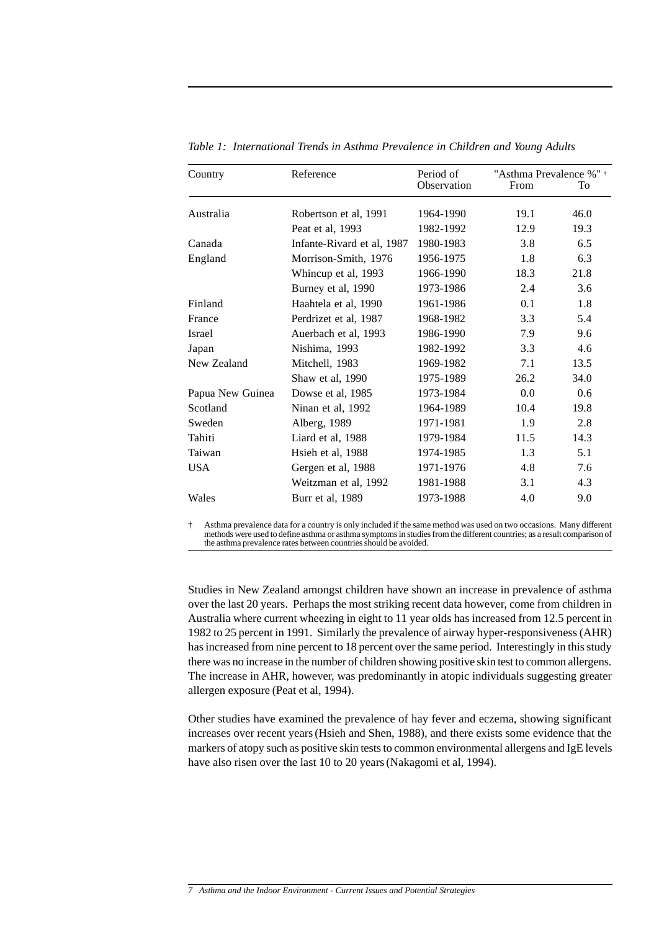| Country          | Reference                  | Period of   | "Asthma Prevalence %" + |      |
|------------------|----------------------------|-------------|-------------------------|------|
|                  |                            | Observation | From                    | To   |
| Australia        | Robertson et al, 1991      | 1964-1990   | 19.1                    | 46.0 |
|                  | Peat et al, 1993           | 1982-1992   | 12.9                    | 19.3 |
| Canada           | Infante-Rivard et al, 1987 | 1980-1983   | 3.8                     | 6.5  |
| England          | Morrison-Smith, 1976       | 1956-1975   | 1.8                     | 6.3  |
|                  | Whincup et al, 1993        | 1966-1990   | 18.3                    | 21.8 |
|                  | Burney et al, 1990         | 1973-1986   | 2.4                     | 3.6  |
| Finland          | Haahtela et al, 1990       | 1961-1986   | 0.1                     | 1.8  |
| France           | Perdrizet et al, 1987      | 1968-1982   | 3.3                     | 5.4  |
| <b>Israel</b>    | Auerbach et al, 1993       | 1986-1990   | 7.9                     | 9.6  |
| Japan            | Nishima, 1993              | 1982-1992   | 3.3                     | 4.6  |
| New Zealand      | Mitchell, 1983             | 1969-1982   | 7.1                     | 13.5 |
|                  | Shaw et al, 1990           | 1975-1989   | 26.2                    | 34.0 |
| Papua New Guinea | Dowse et al, 1985          | 1973-1984   | 0.0                     | 0.6  |
| Scotland         | Ninan et al, 1992          | 1964-1989   | 10.4                    | 19.8 |
| Sweden           | Alberg, 1989               | 1971-1981   | 1.9                     | 2.8  |
| Tahiti           | Liard et al, 1988          | 1979-1984   | 11.5                    | 14.3 |
| Taiwan           | Hsieh et al, 1988          | 1974-1985   | 1.3                     | 5.1  |
| <b>USA</b>       | Gergen et al, 1988         | 1971-1976   | 4.8                     | 7.6  |
|                  | Weitzman et al, 1992       | 1981-1988   | 3.1                     | 4.3  |
| Wales            | Burr et al, 1989           | 1973-1988   | 4.0                     | 9.0  |

*Table 1: International Trends in Asthma Prevalence in Children and Young Adults*

† Asthma prevalence data for a country is only included if the same method was used on two occasions. Many different methods were used to define asthma or asthma symptoms in studies from the different countries; as a result comparison of the asthma prevalence rates between countries should be avoided.

Studies in New Zealand amongst children have shown an increase in prevalence of asthma over the last 20 years. Perhaps the most striking recent data however, come from children in Australia where current wheezing in eight to 11 year olds has increased from 12.5 percent in 1982 to 25 percent in 1991. Similarly the prevalence of airway hyper-responsiveness (AHR) has increased from nine percent to 18 percent over the same period. Interestingly in this study there was no increase in the number of children showing positive skin test to common allergens. The increase in AHR, however, was predominantly in atopic individuals suggesting greater allergen exposure (Peat et al, 1994).

Other studies have examined the prevalence of hay fever and eczema, showing significant increases over recent years(Hsieh and Shen, 1988), and there exists some evidence that the markers of atopy such as positive skin tests to common environmental allergens and IgE levels have also risen over the last 10 to 20 years(Nakagomi et al, 1994).

*<sup>7</sup> Asthma and the Indoor Environment - Current Issues and Potential Strategies*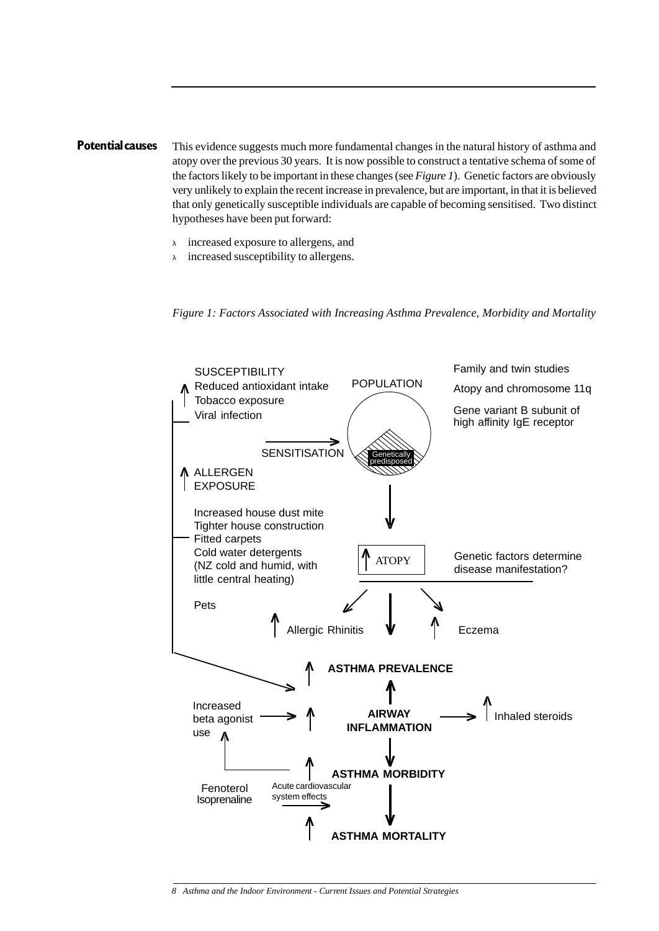### **Potential causes** This evidence suggests much more fundamental changes in the natural history of asthma and atopy over the previous 30 years. It is now possible to construct a tentative schema of some of the factors likely to be important in these changes (see *Figure 1*). Genetic factors are obviously very unlikely to explain the recent increase in prevalence, but are important, in that it is believed that only genetically susceptible individuals are capable of becoming sensitised. Two distinct hypotheses have been put forward:

- <sup>λ</sup> increased exposure to allergens, and
- <sup>λ</sup> increased susceptibility to allergens.

*Figure 1: Factors Associated with Increasing Asthma Prevalence, Morbidity and Mortality*

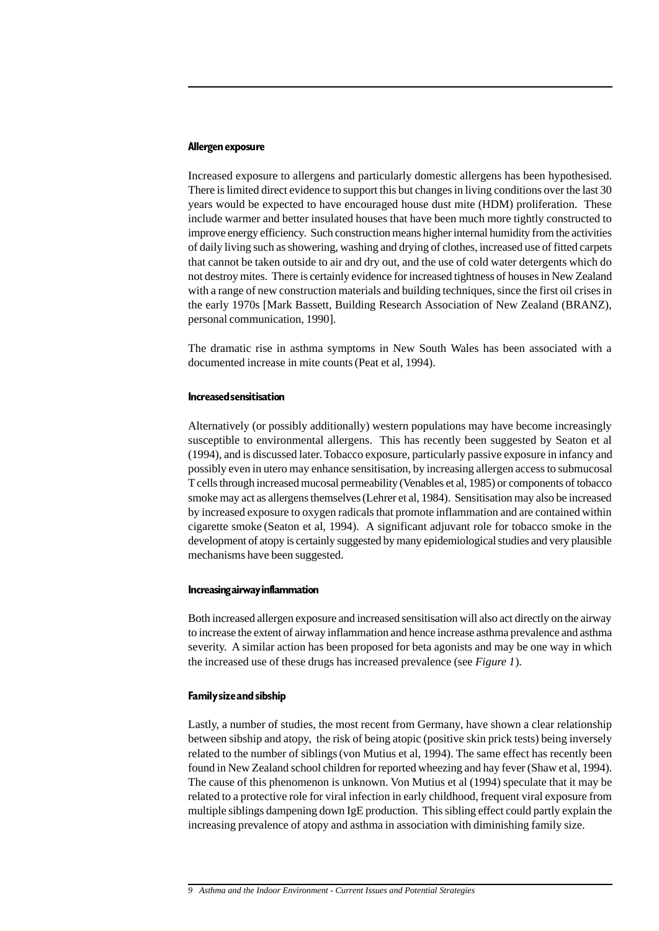### **Allergen exposure**

Increased exposure to allergens and particularly domestic allergens has been hypothesised. There is limited direct evidence to support this but changes in living conditions over the last 30 years would be expected to have encouraged house dust mite (HDM) proliferation. These include warmer and better insulated houses that have been much more tightly constructed to improve energy efficiency. Such construction means higher internal humidity from the activities of daily living such as showering, washing and drying of clothes, increased use of fitted carpets that cannot be taken outside to air and dry out, and the use of cold water detergents which do not destroy mites. There is certainly evidence for increased tightness of houses in New Zealand with a range of new construction materials and building techniques, since the first oil crises in the early 1970s [Mark Bassett, Building Research Association of New Zealand (BRANZ), personal communication, 1990].

The dramatic rise in asthma symptoms in New South Wales has been associated with a documented increase in mite counts(Peat et al, 1994).

#### **Increased sensitisation**

Alternatively (or possibly additionally) western populations may have become increasingly susceptible to environmental allergens. This has recently been suggested by Seaton et al (1994), and is discussed later. Tobacco exposure, particularly passive exposure in infancy and possibly even in utero may enhance sensitisation, by increasing allergen access to submucosal T cells through increased mucosal permeability (Venables et al, 1985) or components of tobacco smoke may act as allergens themselves(Lehrer et al, 1984). Sensitisation may also be increased by increased exposure to oxygen radicals that promote inflammation and are contained within cigarette smoke (Seaton et al, 1994). A significant adjuvant role for tobacco smoke in the development of atopy is certainly suggested by many epidemiological studies and very plausible mechanisms have been suggested.

### **Increasing airway inflammation**

Both increased allergen exposure and increased sensitisation will also act directly on the airway to increase the extent of airway inflammation and hence increase asthma prevalence and asthma severity. A similar action has been proposed for beta agonists and may be one way in which the increased use of these drugs has increased prevalence (see *Figure 1*).

### **Family size and sibship**

Lastly, a number of studies, the most recent from Germany, have shown a clear relationship between sibship and atopy, the risk of being atopic (positive skin prick tests) being inversely related to the number of siblings(von Mutius et al, 1994). The same effect has recently been found in New Zealand school children for reported wheezing and hay fever (Shaw et al, 1994). The cause of this phenomenon is unknown. Von Mutius et al (1994) speculate that it may be related to a protective role for viral infection in early childhood, frequent viral exposure from multiple siblings dampening down IgE production. This sibling effect could partly explain the increasing prevalence of atopy and asthma in association with diminishing family size.

*<sup>9</sup> Asthma and the Indoor Environment - Current Issues and Potential Strategies*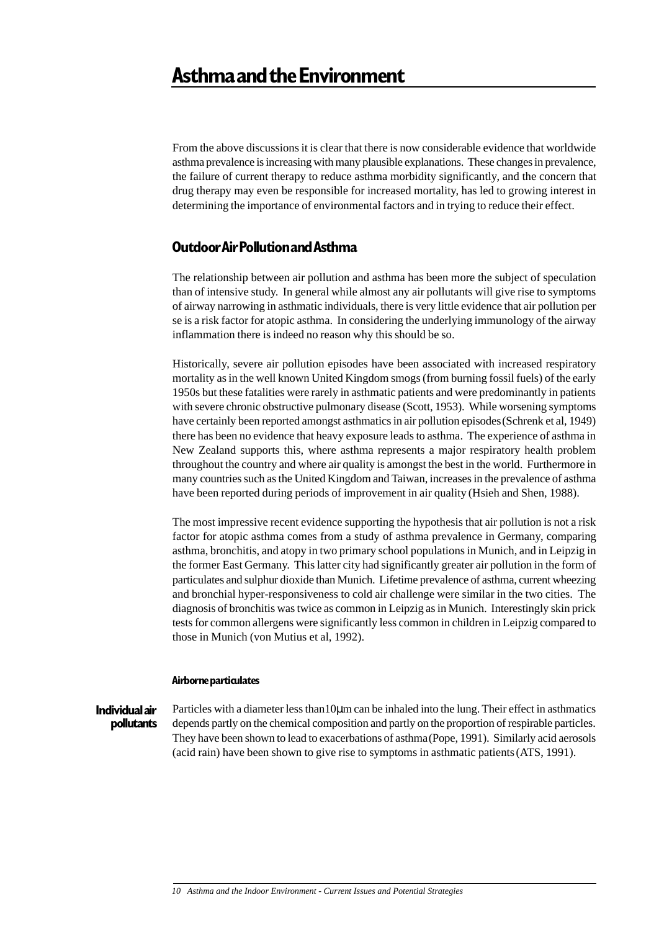From the above discussions it is clear that there is now considerable evidence that worldwide asthma prevalence is increasing with many plausible explanations. These changes in prevalence, the failure of current therapy to reduce asthma morbidity significantly, and the concern that drug therapy may even be responsible for increased mortality, has led to growing interest in determining the importance of environmental factors and in trying to reduce their effect.

## **Outdoor Air Pollution and Asthma**

The relationship between air pollution and asthma has been more the subject of speculation than of intensive study. In general while almost any air pollutants will give rise to symptoms of airway narrowing in asthmatic individuals, there is very little evidence that air pollution per se is a risk factor for atopic asthma. In considering the underlying immunology of the airway inflammation there is indeed no reason why this should be so.

Historically, severe air pollution episodes have been associated with increased respiratory mortality as in the well known United Kingdom smogs (from burning fossil fuels) of the early 1950s but these fatalities were rarely in asthmatic patients and were predominantly in patients with severe chronic obstructive pulmonary disease (Scott, 1953). While worsening symptoms have certainly been reported amongst asthmatics in air pollution episodes(Schrenk et al, 1949) there has been no evidence that heavy exposure leads to asthma. The experience of asthma in New Zealand supports this, where asthma represents a major respiratory health problem throughout the country and where air quality is amongst the best in the world. Furthermore in many countries such as the United Kingdom and Taiwan, increases in the prevalence of asthma have been reported during periods of improvement in air quality (Hsieh and Shen, 1988).

The most impressive recent evidence supporting the hypothesis that air pollution is not a risk factor for atopic asthma comes from a study of asthma prevalence in Germany, comparing asthma, bronchitis, and atopy in two primary school populations in Munich, and in Leipzig in the former East Germany. This latter city had significantly greater air pollution in the form of particulates and sulphur dioxide than Munich. Lifetime prevalence of asthma, current wheezing and bronchial hyper-responsiveness to cold air challenge were similar in the two cities. The diagnosis of bronchitis was twice as common in Leipzig as in Munich. Interestingly skin prick tests for common allergens were significantly less common in children in Leipzig compared to those in Munich (von Mutius et al, 1992).

### **Airborne particulates**

**Individual air pollutants**

Particles with a diameter less than 10µm can be inhaled into the lung. Their effect in asthmatics depends partly on the chemical composition and partly on the proportion of respirable particles. They have been shown to lead to exacerbations of asthma(Pope, 1991). Similarly acid aerosols (acid rain) have been shown to give rise to symptoms in asthmatic patients(ATS, 1991).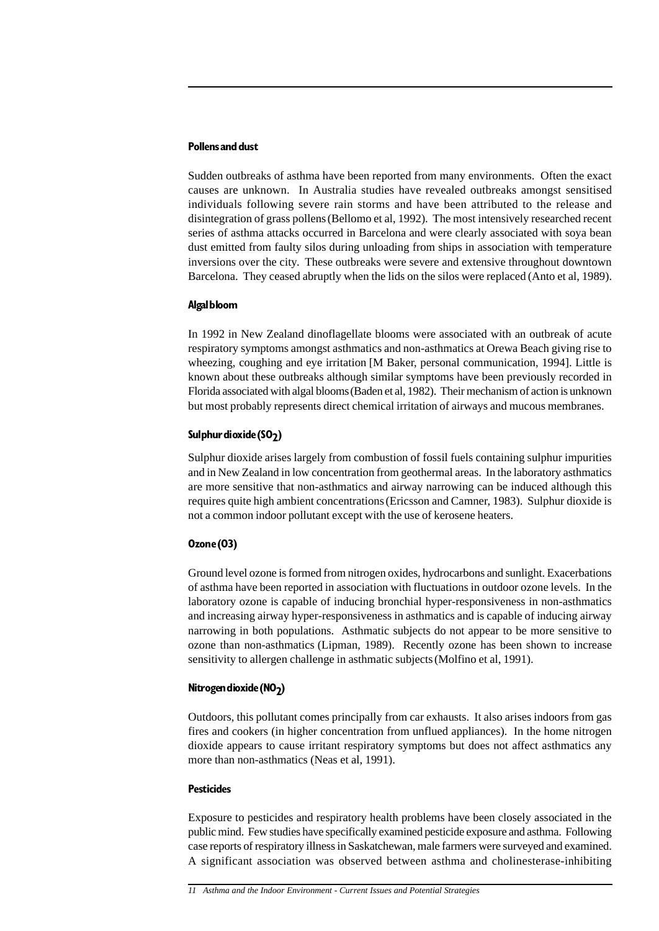### **Pollens and dust**

Sudden outbreaks of asthma have been reported from many environments. Often the exact causes are unknown. In Australia studies have revealed outbreaks amongst sensitised individuals following severe rain storms and have been attributed to the release and disintegration of grass pollens(Bellomo et al, 1992). The most intensively researched recent series of asthma attacks occurred in Barcelona and were clearly associated with soya bean dust emitted from faulty silos during unloading from ships in association with temperature inversions over the city. These outbreaks were severe and extensive throughout downtown Barcelona. They ceased abruptly when the lids on the silos were replaced (Anto et al, 1989).

### **Algal bloom**

In 1992 in New Zealand dinoflagellate blooms were associated with an outbreak of acute respiratory symptoms amongst asthmatics and non-asthmatics at Orewa Beach giving rise to wheezing, coughing and eye irritation [M Baker, personal communication, 1994]. Little is known about these outbreaks although similar symptoms have been previously recorded in Florida associated with algal blooms(Baden et al, 1982). Their mechanism of action is unknown but most probably represents direct chemical irritation of airways and mucous membranes.

### Sulphur dioxide (SO<sub>2</sub>)

Sulphur dioxide arises largely from combustion of fossil fuels containing sulphur impurities and in New Zealand in low concentration from geothermal areas. In the laboratory asthmatics are more sensitive that non-asthmatics and airway narrowing can be induced although this requires quite high ambient concentrations(Ericsson and Camner, 1983). Sulphur dioxide is not a common indoor pollutant except with the use of kerosene heaters.

### **Ozone (O3)**

Ground level ozone is formed from nitrogen oxides, hydrocarbons and sunlight. Exacerbations of asthma have been reported in association with fluctuations in outdoor ozone levels. In the laboratory ozone is capable of inducing bronchial hyper-responsiveness in non-asthmatics and increasing airway hyper-responsiveness in asthmatics and is capable of inducing airway narrowing in both populations. Asthmatic subjects do not appear to be more sensitive to ozone than non-asthmatics (Lipman, 1989). Recently ozone has been shown to increase sensitivity to allergen challenge in asthmatic subjects(Molfino et al, 1991).

### **Nitrogen dioxide (NO<sub>2</sub>)**

Outdoors, this pollutant comes principally from car exhausts. It also arises indoors from gas fires and cookers (in higher concentration from unflued appliances). In the home nitrogen dioxide appears to cause irritant respiratory symptoms but does not affect asthmatics any more than non-asthmatics (Neas et al, 1991).

### **Pesticides**

Exposure to pesticides and respiratory health problems have been closely associated in the public mind. Few studies have specifically examined pesticide exposure and asthma. Following case reports of respiratory illness in Saskatchewan, male farmers were surveyed and examined. A significant association was observed between asthma and cholinesterase-inhibiting

*<sup>11</sup> Asthma and the Indoor Environment - Current Issues and Potential Strategies*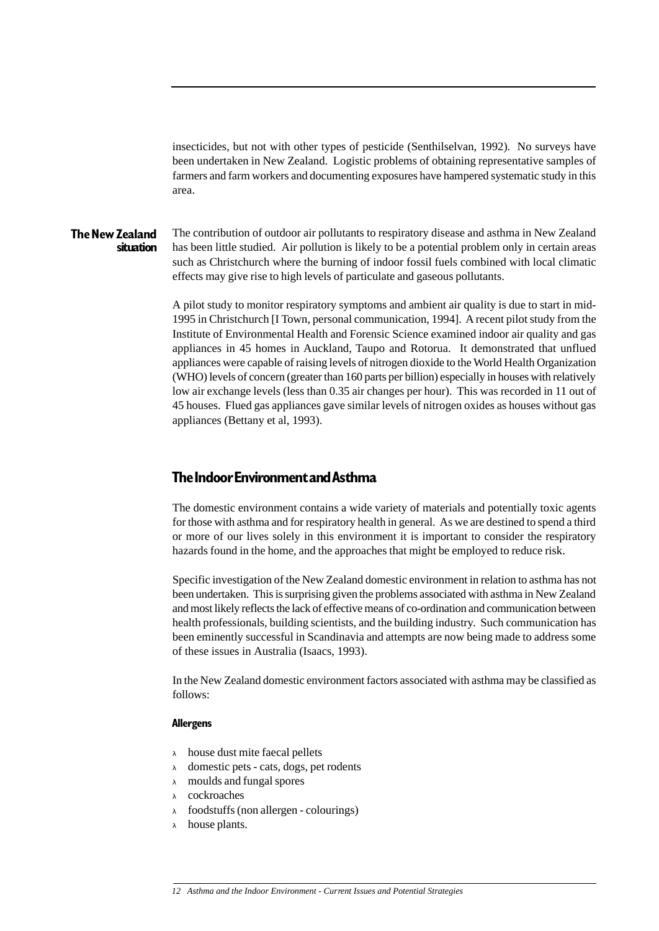insecticides, but not with other types of pesticide (Senthilselvan, 1992). No surveys have been undertaken in New Zealand. Logistic problems of obtaining representative samples of farmers and farm workers and documenting exposures have hampered systematic study in this area.

#### The contribution of outdoor air pollutants to respiratory disease and asthma in New Zealand has been little studied. Air pollution is likely to be a potential problem only in certain areas such as Christchurch where the burning of indoor fossil fuels combined with local climatic effects may give rise to high levels of particulate and gaseous pollutants. **The New Zealand situation**

A pilot study to monitor respiratory symptoms and ambient air quality is due to start in mid-1995 in Christchurch [I Town, personal communication, 1994]. A recent pilot study from the Institute of Environmental Health and Forensic Science examined indoor air quality and gas appliances in 45 homes in Auckland, Taupo and Rotorua. It demonstrated that unflued appliances were capable of raising levels of nitrogen dioxide to the World Health Organization (WHO) levels of concern (greater than 160 parts per billion) especially in houses with relatively low air exchange levels (less than 0.35 air changes per hour). This was recorded in 11 out of 45 houses. Flued gas appliances gave similar levels of nitrogen oxides as houses without gas appliances (Bettany et al, 1993).

### **The Indoor Environment and Asthma**

The domestic environment contains a wide variety of materials and potentially toxic agents for those with asthma and for respiratory health in general. As we are destined to spend a third or more of our lives solely in this environment it is important to consider the respiratory hazards found in the home, and the approaches that might be employed to reduce risk.

Specific investigation of the New Zealand domestic environment in relation to asthma has not been undertaken. This is surprising given the problems associated with asthma in New Zealand and most likely reflects the lack of effective means of co-ordination and communication between health professionals, building scientists, and the building industry. Such communication has been eminently successful in Scandinavia and attempts are now being made to address some of these issues in Australia (Isaacs, 1993).

In the New Zealand domestic environment factors associated with asthma may be classified as follows:

### **Allergens**

- <sup>λ</sup> house dust mite faecal pellets
- <sup>λ</sup> domestic pets cats, dogs, pet rodents
- <sup>λ</sup> moulds and fungal spores
- <sup>λ</sup> cockroaches
- <sup>λ</sup> foodstuffs (non allergen colourings)
- <sup>λ</sup> house plants.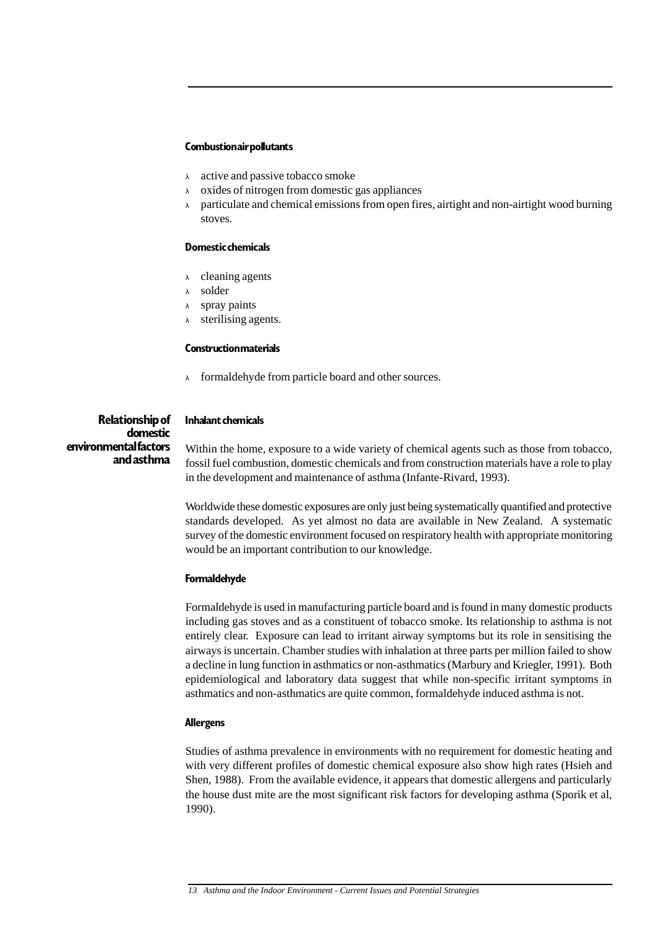### **Combustion air pollutants**

- <sup>λ</sup> active and passive tobacco smoke
- <sup>λ</sup> oxides of nitrogen from domestic gas appliances
- $\lambda$  particulate and chemical emissions from open fires, airtight and non-airtight wood burning stoves.

### **Domestic chemicals**

- <sup>λ</sup> cleaning agents
- <sup>λ</sup> solder
- <sup>λ</sup> spray paints
- <sup>λ</sup> sterilising agents.

### **Construction materials**

<sup>λ</sup> formaldehyde from particle board and other sources.

**Relationship of domestic environmental factors and asthma**

### **Inhalant chemicals**

Within the home, exposure to a wide variety of chemical agents such as those from tobacco, fossil fuel combustion, domestic chemicals and from construction materials have a role to play in the development and maintenance of asthma (Infante-Rivard, 1993).

Worldwide these domestic exposures are only just being systematically quantified and protective standards developed. As yet almost no data are available in New Zealand. A systematic survey of the domestic environment focused on respiratory health with appropriate monitoring would be an important contribution to our knowledge.

### **Formaldehyde**

Formaldehyde is used in manufacturing particle board and is found in many domestic products including gas stoves and as a constituent of tobacco smoke. Its relationship to asthma is not entirely clear. Exposure can lead to irritant airway symptoms but its role in sensitising the airways is uncertain. Chamber studies with inhalation at three parts per million failed to show a decline in lung function in asthmatics or non-asthmatics (Marbury and Kriegler, 1991). Both epidemiological and laboratory data suggest that while non-specific irritant symptoms in asthmatics and non-asthmatics are quite common, formaldehyde induced asthma is not.

### **Allergens**

Studies of asthma prevalence in environments with no requirement for domestic heating and with very different profiles of domestic chemical exposure also show high rates (Hsieh and Shen, 1988). From the available evidence, it appears that domestic allergens and particularly the house dust mite are the most significant risk factors for developing asthma (Sporik et al, 1990).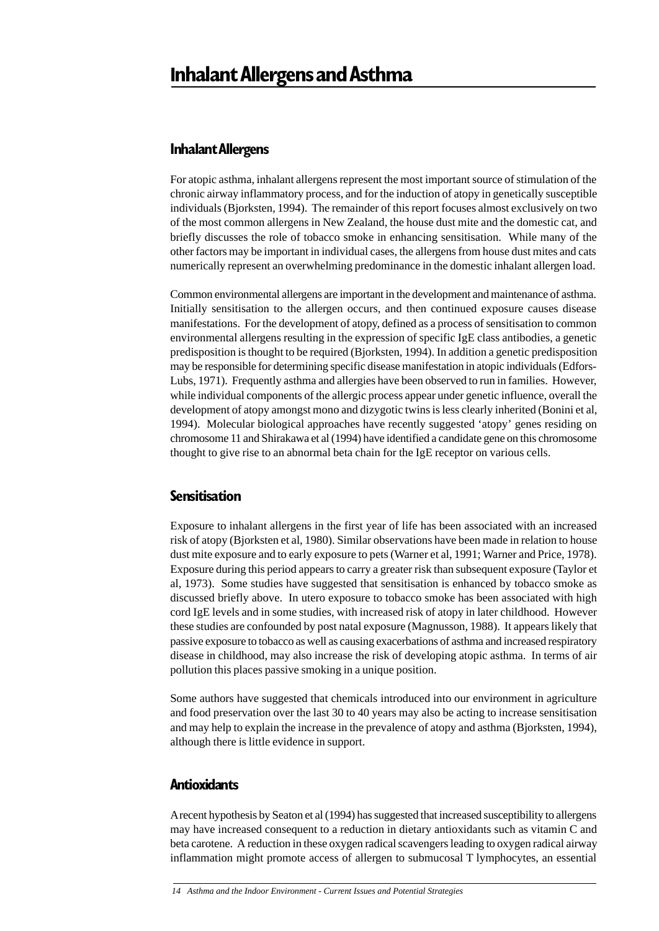### **Inhalant Allergens**

For atopic asthma, inhalant allergens represent the most important source of stimulation of the chronic airway inflammatory process, and for the induction of atopy in genetically susceptible individuals (Bjorksten, 1994). The remainder of this report focuses almost exclusively on two of the most common allergens in New Zealand, the house dust mite and the domestic cat, and briefly discusses the role of tobacco smoke in enhancing sensitisation. While many of the other factors may be important in individual cases, the allergens from house dust mites and cats numerically represent an overwhelming predominance in the domestic inhalant allergen load.

Common environmental allergens are important in the development and maintenance of asthma. Initially sensitisation to the allergen occurs, and then continued exposure causes disease manifestations. For the development of atopy, defined as a process of sensitisation to common environmental allergens resulting in the expression of specific IgE class antibodies, a genetic predisposition is thought to be required (Bjorksten, 1994). In addition a genetic predisposition may be responsible for determining specific disease manifestation in atopic individuals (Edfors-Lubs, 1971). Frequently asthma and allergies have been observed to run in families. However, while individual components of the allergic process appear under genetic influence, overall the development of atopy amongst mono and dizygotic twins is less clearly inherited (Bonini et al, 1994). Molecular biological approaches have recently suggested 'atopy' genes residing on chromosome 11 and Shirakawa et al (1994) have identified a candidate gene on this chromosome thought to give rise to an abnormal beta chain for the IgE receptor on various cells.

### **Sensitisation**

Exposure to inhalant allergens in the first year of life has been associated with an increased risk of atopy (Bjorksten et al, 1980). Similar observations have been made in relation to house dust mite exposure and to early exposure to pets (Warner et al, 1991; Warner and Price, 1978). Exposure during this period appears to carry a greater risk than subsequent exposure (Taylor et al, 1973). Some studies have suggested that sensitisation is enhanced by tobacco smoke as discussed briefly above. In utero exposure to tobacco smoke has been associated with high cord IgE levels and in some studies, with increased risk of atopy in later childhood. However these studies are confounded by post natal exposure (Magnusson, 1988). It appears likely that passive exposure to tobacco as well as causing exacerbations of asthma and increased respiratory disease in childhood, may also increase the risk of developing atopic asthma. In terms of air pollution this places passive smoking in a unique position.

Some authors have suggested that chemicals introduced into our environment in agriculture and food preservation over the last 30 to 40 years may also be acting to increase sensitisation and may help to explain the increase in the prevalence of atopy and asthma (Bjorksten, 1994), although there is little evidence in support.

## **Antioxidants**

A recent hypothesis by Seaton et al (1994) has suggested that increased susceptibility to allergens may have increased consequent to a reduction in dietary antioxidants such as vitamin C and beta carotene. A reduction in these oxygen radical scavengers leading to oxygen radical airway inflammation might promote access of allergen to submucosal T lymphocytes, an essential

*<sup>14</sup> Asthma and the Indoor Environment - Current Issues and Potential Strategies*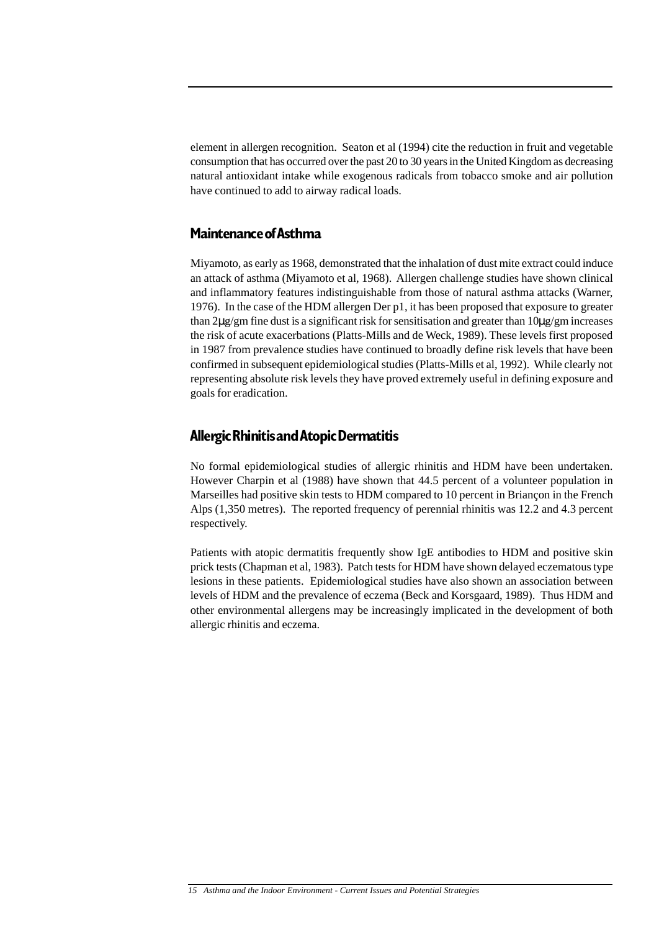element in allergen recognition. Seaton et al (1994) cite the reduction in fruit and vegetable consumption that has occurred over the past 20 to 30 years in the United Kingdom as decreasing natural antioxidant intake while exogenous radicals from tobacco smoke and air pollution have continued to add to airway radical loads.

### **Maintenance of Asthma**

Miyamoto, as early as 1968, demonstrated that the inhalation of dust mite extract could induce an attack of asthma (Miyamoto et al, 1968). Allergen challenge studies have shown clinical and inflammatory features indistinguishable from those of natural asthma attacks (Warner, 1976). In the case of the HDM allergen Der p1, it has been proposed that exposure to greater than 2µg/gm fine dust is a significant risk for sensitisation and greater than 10µg/gm increases the risk of acute exacerbations (Platts-Mills and de Weck, 1989). These levels first proposed in 1987 from prevalence studies have continued to broadly define risk levels that have been confirmed in subsequent epidemiological studies (Platts-Mills et al, 1992). While clearly not representing absolute risk levels they have proved extremely useful in defining exposure and goals for eradication.

### **Allergic Rhinitis and Atopic Dermatitis**

No formal epidemiological studies of allergic rhinitis and HDM have been undertaken. However Charpin et al (1988) have shown that 44.5 percent of a volunteer population in Marseilles had positive skin tests to HDM compared to 10 percent in Briançon in the French Alps (1,350 metres). The reported frequency of perennial rhinitis was 12.2 and 4.3 percent respectively.

Patients with atopic dermatitis frequently show IgE antibodies to HDM and positive skin prick tests (Chapman et al, 1983). Patch tests for HDM have shown delayed eczematous type lesions in these patients. Epidemiological studies have also shown an association between levels of HDM and the prevalence of eczema (Beck and Korsgaard, 1989). Thus HDM and other environmental allergens may be increasingly implicated in the development of both allergic rhinitis and eczema.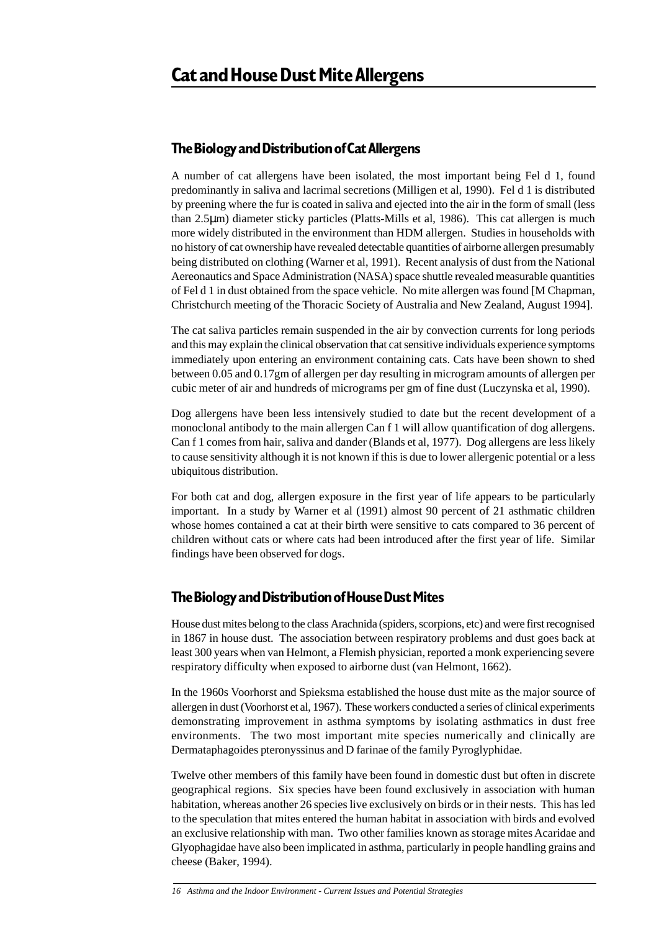### **The Biology and Distribution of Cat Allergens**

A number of cat allergens have been isolated, the most important being Fel d 1, found predominantly in saliva and lacrimal secretions (Milligen et al, 1990). Fel d 1 is distributed by preening where the fur is coated in saliva and ejected into the air in the form of small (less than 2.5µm) diameter sticky particles (Platts-Mills et al, 1986). This cat allergen is much more widely distributed in the environment than HDM allergen. Studies in households with no history of cat ownership have revealed detectable quantities of airborne allergen presumably being distributed on clothing (Warner et al, 1991). Recent analysis of dust from the National Aereonautics and Space Administration (NASA) space shuttle revealed measurable quantities of Fel d 1 in dust obtained from the space vehicle. No mite allergen was found [M Chapman, Christchurch meeting of the Thoracic Society of Australia and New Zealand, August 1994].

The cat saliva particles remain suspended in the air by convection currents for long periods and this may explain the clinical observation that cat sensitive individuals experience symptoms immediately upon entering an environment containing cats. Cats have been shown to shed between 0.05 and 0.17gm of allergen per day resulting in microgram amounts of allergen per cubic meter of air and hundreds of micrograms per gm of fine dust (Luczynska et al, 1990).

Dog allergens have been less intensively studied to date but the recent development of a monoclonal antibody to the main allergen Can f 1 will allow quantification of dog allergens. Can f 1 comes from hair, saliva and dander (Blands et al, 1977). Dog allergens are less likely to cause sensitivity although it is not known if this is due to lower allergenic potential or a less ubiquitous distribution.

For both cat and dog, allergen exposure in the first year of life appears to be particularly important. In a study by Warner et al (1991) almost 90 percent of 21 asthmatic children whose homes contained a cat at their birth were sensitive to cats compared to 36 percent of children without cats or where cats had been introduced after the first year of life. Similar findings have been observed for dogs.

### **The Biology and Distribution of House Dust Mites**

House dust mites belong to the class Arachnida (spiders, scorpions, etc) and were first recognised in 1867 in house dust. The association between respiratory problems and dust goes back at least 300 years when van Helmont, a Flemish physician, reported a monk experiencing severe respiratory difficulty when exposed to airborne dust (van Helmont, 1662).

In the 1960s Voorhorst and Spieksma established the house dust mite as the major source of allergen in dust (Voorhorst et al, 1967). These workers conducted a series of clinical experiments demonstrating improvement in asthma symptoms by isolating asthmatics in dust free environments. The two most important mite species numerically and clinically are Dermataphagoides pteronyssinus and D farinae of the family Pyroglyphidae.

Twelve other members of this family have been found in domestic dust but often in discrete geographical regions. Six species have been found exclusively in association with human habitation, whereas another 26 species live exclusively on birds or in their nests. This has led to the speculation that mites entered the human habitat in association with birds and evolved an exclusive relationship with man. Two other families known as storage mites Acaridae and Glyophagidae have also been implicated in asthma, particularly in people handling grains and cheese (Baker, 1994).

*16 Asthma and the Indoor Environment - Current Issues and Potential Strategies*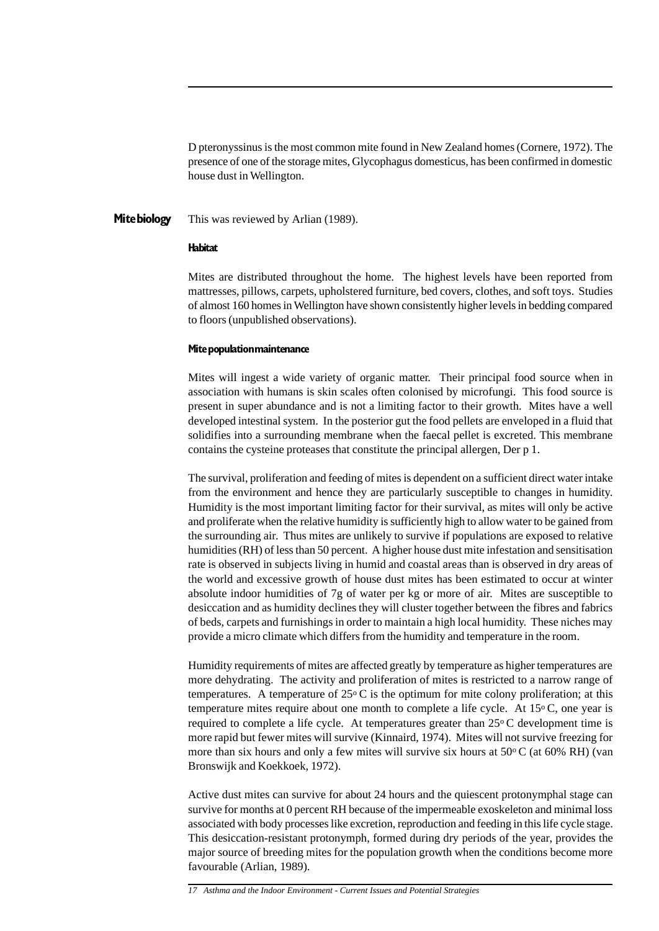D pteronyssinus is the most common mite found in New Zealand homes (Cornere, 1972). The presence of one of the storage mites, Glycophagus domesticus, has been confirmed in domestic house dust in Wellington.

This was reviewed by Arlian (1989). **Mite biology**

#### **Habitat**

Mites are distributed throughout the home. The highest levels have been reported from mattresses, pillows, carpets, upholstered furniture, bed covers, clothes, and soft toys. Studies of almost 160 homes in Wellington have shown consistently higher levels in bedding compared to floors (unpublished observations).

### **Mite population maintenance**

Mites will ingest a wide variety of organic matter. Their principal food source when in association with humans is skin scales often colonised by microfungi. This food source is present in super abundance and is not a limiting factor to their growth. Mites have a well developed intestinal system. In the posterior gut the food pellets are enveloped in a fluid that solidifies into a surrounding membrane when the faecal pellet is excreted. This membrane contains the cysteine proteases that constitute the principal allergen, Der p 1.

The survival, proliferation and feeding of mites is dependent on a sufficient direct water intake from the environment and hence they are particularly susceptible to changes in humidity. Humidity is the most important limiting factor for their survival, as mites will only be active and proliferate when the relative humidity is sufficiently high to allow water to be gained from the surrounding air. Thus mites are unlikely to survive if populations are exposed to relative humidities (RH) of less than 50 percent. A higher house dust mite infestation and sensitisation rate is observed in subjects living in humid and coastal areas than is observed in dry areas of the world and excessive growth of house dust mites has been estimated to occur at winter absolute indoor humidities of 7g of water per kg or more of air. Mites are susceptible to desiccation and as humidity declines they will cluster together between the fibres and fabrics of beds, carpets and furnishings in order to maintain a high local humidity. These niches may provide a micro climate which differs from the humidity and temperature in the room.

Humidity requirements of mites are affected greatly by temperature as higher temperatures are more dehydrating. The activity and proliferation of mites is restricted to a narrow range of temperatures. A temperature of  $25^{\circ}$  C is the optimum for mite colony proliferation; at this temperature mites require about one month to complete a life cycle. At  $15^{\circ}$ C, one year is required to complete a life cycle. At temperatures greater than  $25^{\circ}$ C development time is more rapid but fewer mites will survive (Kinnaird, 1974). Mites will not survive freezing for more than six hours and only a few mites will survive six hours at  $50\textdegree C$  (at  $60\%$  RH) (van Bronswijk and Koekkoek, 1972).

Active dust mites can survive for about 24 hours and the quiescent protonymphal stage can survive for months at 0 percent RH because of the impermeable exoskeleton and minimal loss associated with body processes like excretion, reproduction and feeding in this life cycle stage. This desiccation-resistant protonymph, formed during dry periods of the year, provides the major source of breeding mites for the population growth when the conditions become more favourable (Arlian, 1989).

*17 Asthma and the Indoor Environment - Current Issues and Potential Strategies*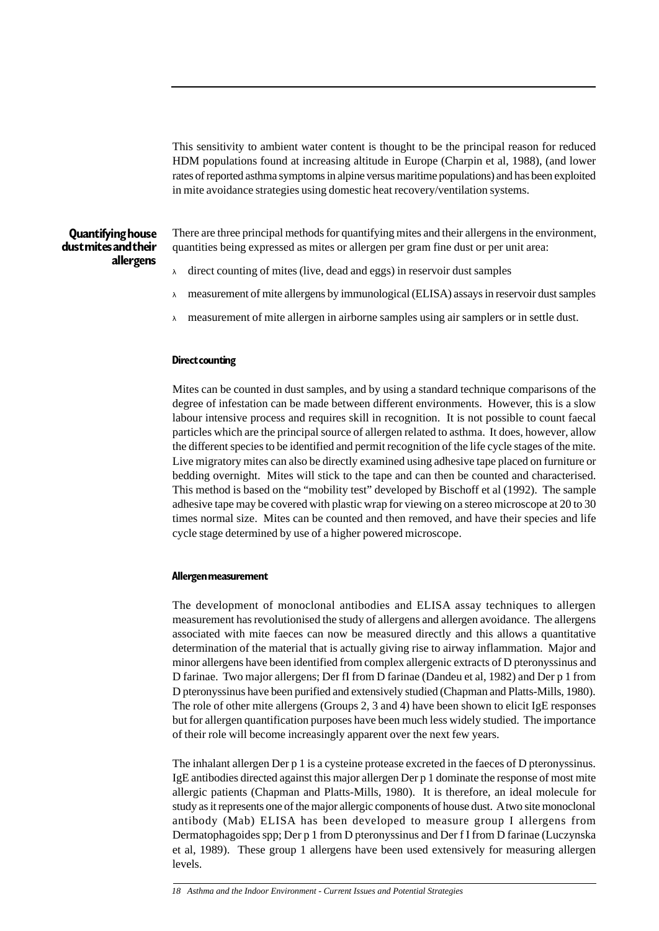This sensitivity to ambient water content is thought to be the principal reason for reduced HDM populations found at increasing altitude in Europe (Charpin et al, 1988), (and lower rates of reported asthma symptoms in alpine versus maritime populations) and has been exploited in mite avoidance strategies using domestic heat recovery/ventilation systems.

### **Quantifying house dust mites and their allergens**

There are three principal methods for quantifying mites and their allergens in the environment, quantities being expressed as mites or allergen per gram fine dust or per unit area:

- direct counting of mites (live, dead and eggs) in reservoir dust samples
- <sup>λ</sup> measurement of mite allergens by immunological (ELISA) assays in reservoir dust samples
- <sup>λ</sup> measurement of mite allergen in airborne samples using air samplers or in settle dust.

### **Direct counting**

Mites can be counted in dust samples, and by using a standard technique comparisons of the degree of infestation can be made between different environments. However, this is a slow labour intensive process and requires skill in recognition. It is not possible to count faecal particles which are the principal source of allergen related to asthma. It does, however, allow the different species to be identified and permit recognition of the life cycle stages of the mite. Live migratory mites can also be directly examined using adhesive tape placed on furniture or bedding overnight. Mites will stick to the tape and can then be counted and characterised. This method is based on the "mobility test" developed by Bischoff et al (1992). The sample adhesive tape may be covered with plastic wrap for viewing on a stereo microscope at 20 to 30 times normal size. Mites can be counted and then removed, and have their species and life cycle stage determined by use of a higher powered microscope.

### **Allergen measurement**

The development of monoclonal antibodies and ELISA assay techniques to allergen measurement has revolutionised the study of allergens and allergen avoidance. The allergens associated with mite faeces can now be measured directly and this allows a quantitative determination of the material that is actually giving rise to airway inflammation. Major and minor allergens have been identified from complex allergenic extracts of D pteronyssinus and D farinae. Two major allergens; Der fI from D farinae (Dandeu et al, 1982) and Der p 1 from D pteronyssinus have been purified and extensively studied (Chapman and Platts-Mills, 1980). The role of other mite allergens (Groups 2, 3 and 4) have been shown to elicit IgE responses but for allergen quantification purposes have been much less widely studied. The importance of their role will become increasingly apparent over the next few years.

The inhalant allergen Der p 1 is a cysteine protease excreted in the faeces of D pteronyssinus. IgE antibodies directed against this major allergen Der p 1 dominate the response of most mite allergic patients (Chapman and Platts-Mills, 1980). It is therefore, an ideal molecule for study as it represents one of the major allergic components of house dust. A two site monoclonal antibody (Mab) ELISA has been developed to measure group I allergens from Dermatophagoides spp; Der p 1 from D pteronyssinus and Der f I from D farinae (Luczynska et al, 1989). These group 1 allergens have been used extensively for measuring allergen levels.

*<sup>18</sup> Asthma and the Indoor Environment - Current Issues and Potential Strategies*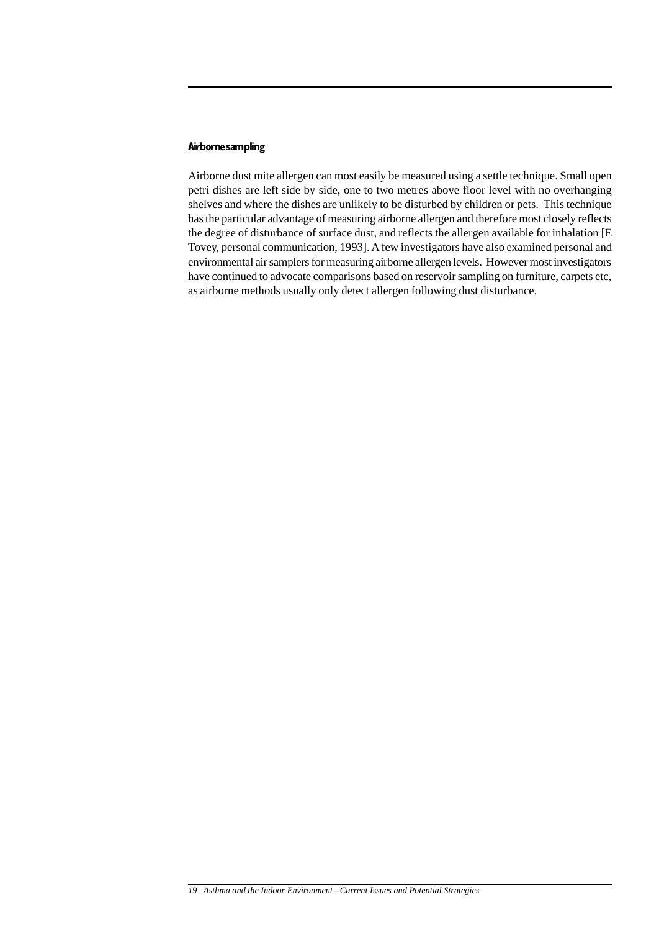### **Airborne sampling**

Airborne dust mite allergen can most easily be measured using a settle technique. Small open petri dishes are left side by side, one to two metres above floor level with no overhanging shelves and where the dishes are unlikely to be disturbed by children or pets. This technique has the particular advantage of measuring airborne allergen and therefore most closely reflects the degree of disturbance of surface dust, and reflects the allergen available for inhalation [E Tovey, personal communication, 1993]. A few investigators have also examined personal and environmental air samplers for measuring airborne allergen levels. However most investigators have continued to advocate comparisons based on reservoir sampling on furniture, carpets etc, as airborne methods usually only detect allergen following dust disturbance.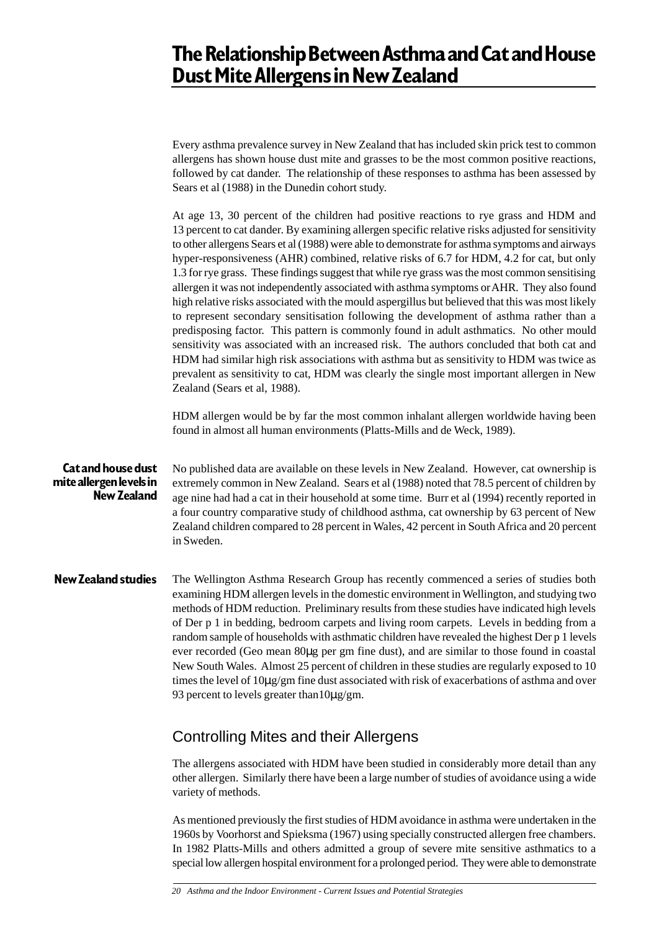# **The Relationship Between Asthma and Cat and House Dust Mite Allergens in New Zealand**

Every asthma prevalence survey in New Zealand that has included skin prick test to common allergens has shown house dust mite and grasses to be the most common positive reactions, followed by cat dander. The relationship of these responses to asthma has been assessed by Sears et al (1988) in the Dunedin cohort study.

At age 13, 30 percent of the children had positive reactions to rye grass and HDM and 13 percent to cat dander. By examining allergen specific relative risks adjusted for sensitivity to other allergens Sears et al (1988) were able to demonstrate for asthma symptoms and airways hyper-responsiveness (AHR) combined, relative risks of 6.7 for HDM, 4.2 for cat, but only 1.3 for rye grass. These findings suggest that while rye grass was the most common sensitising allergen it was not independently associated with asthma symptoms or AHR. They also found high relative risks associated with the mould aspergillus but believed that this was most likely to represent secondary sensitisation following the development of asthma rather than a predisposing factor. This pattern is commonly found in adult asthmatics. No other mould sensitivity was associated with an increased risk. The authors concluded that both cat and HDM had similar high risk associations with asthma but as sensitivity to HDM was twice as prevalent as sensitivity to cat, HDM was clearly the single most important allergen in New Zealand (Sears et al, 1988).

HDM allergen would be by far the most common inhalant allergen worldwide having been found in almost all human environments (Platts-Mills and de Weck, 1989).

#### No published data are available on these levels in New Zealand. However, cat ownership is extremely common in New Zealand. Sears et al (1988) noted that 78.5 percent of children by age nine had had a cat in their household at some time. Burr et al (1994) recently reported in a four country comparative study of childhood asthma, cat ownership by 63 percent of New Zealand children compared to 28 percent in Wales, 42 percent in South Africa and 20 percent in Sweden. **Cat and house dust mite allergen levels in New Zealand**

The Wellington Asthma Research Group has recently commenced a series of studies both examining HDM allergen levels in the domestic environment in Wellington, and studying two methods of HDM reduction. Preliminary results from these studies have indicated high levels of Der p 1 in bedding, bedroom carpets and living room carpets. Levels in bedding from a random sample of households with asthmatic children have revealed the highest Der p 1 levels ever recorded (Geo mean 80µg per gm fine dust), and are similar to those found in coastal New South Wales. Almost 25 percent of children in these studies are regularly exposed to 10 times the level of 10µg/gm fine dust associated with risk of exacerbations of asthma and over 93 percent to levels greater than  $10\mu$ g/gm. **New Zealand studies**

## Controlling Mites and their Allergens

The allergens associated with HDM have been studied in considerably more detail than any other allergen. Similarly there have been a large number of studies of avoidance using a wide variety of methods.

As mentioned previously the first studies of HDM avoidance in asthma were undertaken in the 1960s by Voorhorst and Spieksma (1967) using specially constructed allergen free chambers. In 1982 Platts-Mills and others admitted a group of severe mite sensitive asthmatics to a special low allergen hospital environment for a prolonged period. They were able to demonstrate

*<sup>20</sup> Asthma and the Indoor Environment - Current Issues and Potential Strategies*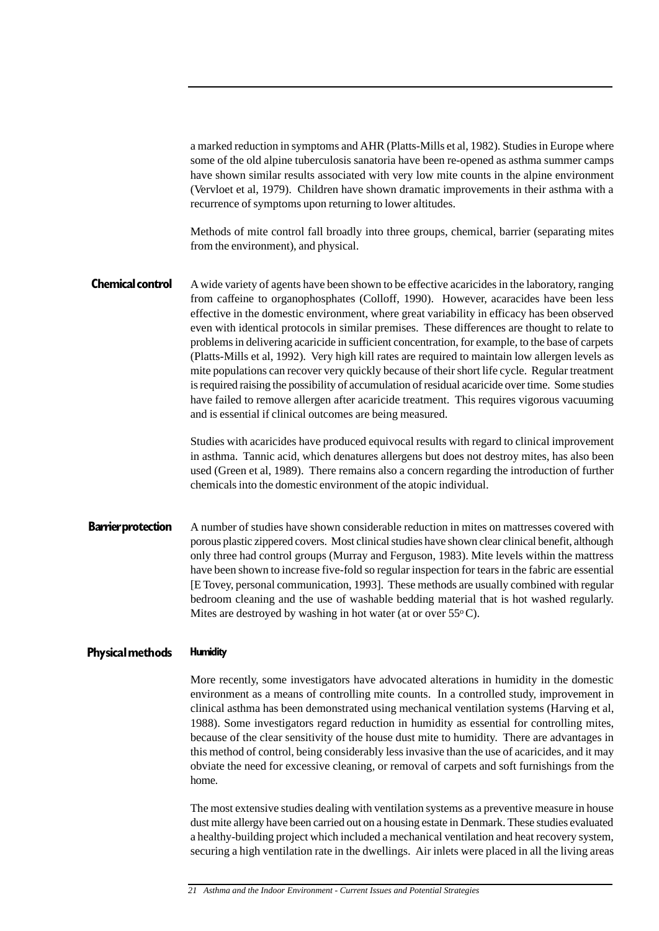a marked reduction in symptoms and AHR (Platts-Mills et al, 1982). Studies in Europe where some of the old alpine tuberculosis sanatoria have been re-opened as asthma summer camps have shown similar results associated with very low mite counts in the alpine environment (Vervloet et al, 1979). Children have shown dramatic improvements in their asthma with a recurrence of symptoms upon returning to lower altitudes.

Methods of mite control fall broadly into three groups, chemical, barrier (separating mites from the environment), and physical.

A wide variety of agents have been shown to be effective acaricides in the laboratory, ranging from caffeine to organophosphates (Colloff, 1990). However, acaracides have been less effective in the domestic environment, where great variability in efficacy has been observed even with identical protocols in similar premises. These differences are thought to relate to problems in delivering acaricide in sufficient concentration, for example, to the base of carpets (Platts-Mills et al, 1992). Very high kill rates are required to maintain low allergen levels as mite populations can recover very quickly because of their short life cycle. Regular treatment is required raising the possibility of accumulation of residual acaricide over time. Some studies have failed to remove allergen after acaricide treatment. This requires vigorous vacuuming and is essential if clinical outcomes are being measured. **Chemical control**

> Studies with acaricides have produced equivocal results with regard to clinical improvement in asthma. Tannic acid, which denatures allergens but does not destroy mites, has also been used (Green et al, 1989). There remains also a concern regarding the introduction of further chemicals into the domestic environment of the atopic individual.

A number of studies have shown considerable reduction in mites on mattresses covered with porous plastic zippered covers. Most clinical studies have shown clear clinical benefit, although only three had control groups (Murray and Ferguson, 1983). Mite levels within the mattress have been shown to increase five-fold so regular inspection for tears in the fabric are essential [E Tovey, personal communication, 1993]. These methods are usually combined with regular bedroom cleaning and the use of washable bedding material that is hot washed regularly. Mites are destroyed by washing in hot water (at or over  $55^{\circ}$ C). **Barrier protection**

#### **Humidity Physical methods**

More recently, some investigators have advocated alterations in humidity in the domestic environment as a means of controlling mite counts. In a controlled study, improvement in clinical asthma has been demonstrated using mechanical ventilation systems (Harving et al, 1988). Some investigators regard reduction in humidity as essential for controlling mites, because of the clear sensitivity of the house dust mite to humidity. There are advantages in this method of control, being considerably less invasive than the use of acaricides, and it may obviate the need for excessive cleaning, or removal of carpets and soft furnishings from the home.

The most extensive studies dealing with ventilation systems as a preventive measure in house dust mite allergy have been carried out on a housing estate in Denmark. These studies evaluated a healthy-building project which included a mechanical ventilation and heat recovery system, securing a high ventilation rate in the dwellings. Air inlets were placed in all the living areas

*<sup>21</sup> Asthma and the Indoor Environment - Current Issues and Potential Strategies*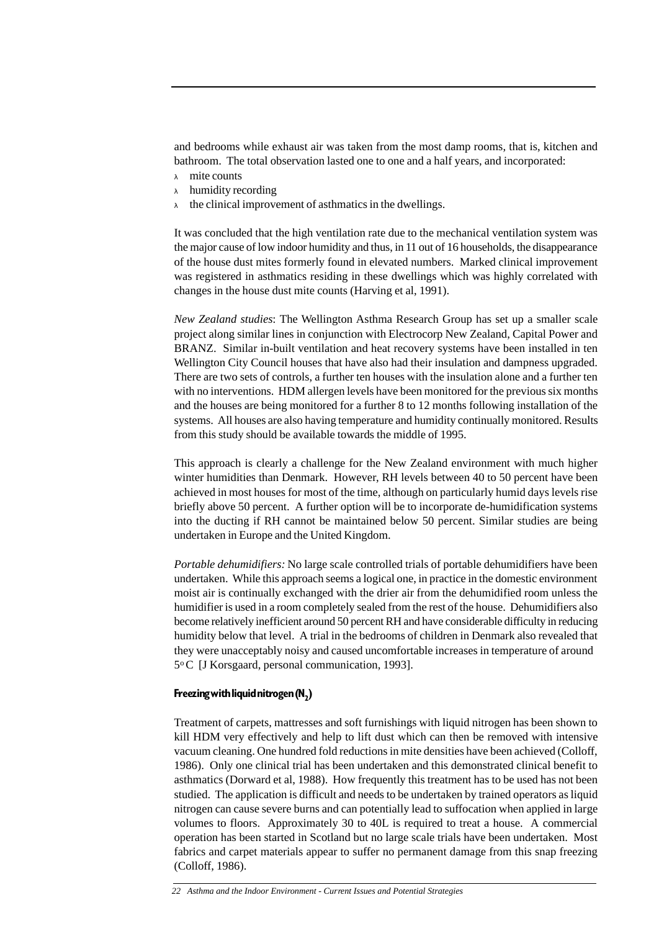and bedrooms while exhaust air was taken from the most damp rooms, that is, kitchen and bathroom. The total observation lasted one to one and a half years, and incorporated:

- <sup>λ</sup> mite counts
- $\lambda$  humidity recording
- $\lambda$  the clinical improvement of asthmatics in the dwellings.

It was concluded that the high ventilation rate due to the mechanical ventilation system was the major cause of low indoor humidity and thus, in 11 out of 16 households, the disappearance of the house dust mites formerly found in elevated numbers. Marked clinical improvement was registered in asthmatics residing in these dwellings which was highly correlated with changes in the house dust mite counts (Harving et al, 1991).

*New Zealand studies*: The Wellington Asthma Research Group has set up a smaller scale project along similar lines in conjunction with Electrocorp New Zealand, Capital Power and BRANZ. Similar in-built ventilation and heat recovery systems have been installed in ten Wellington City Council houses that have also had their insulation and dampness upgraded. There are two sets of controls, a further ten houses with the insulation alone and a further ten with no interventions. HDM allergen levels have been monitored for the previous six months and the houses are being monitored for a further 8 to 12 months following installation of the systems. All houses are also having temperature and humidity continually monitored. Results from this study should be available towards the middle of 1995.

This approach is clearly a challenge for the New Zealand environment with much higher winter humidities than Denmark. However, RH levels between 40 to 50 percent have been achieved in most houses for most of the time, although on particularly humid days levels rise briefly above 50 percent. A further option will be to incorporate de-humidification systems into the ducting if RH cannot be maintained below 50 percent. Similar studies are being undertaken in Europe and the United Kingdom.

*Portable dehumidifiers:* No large scale controlled trials of portable dehumidifiers have been undertaken. While this approach seems a logical one, in practice in the domestic environment moist air is continually exchanged with the drier air from the dehumidified room unless the humidifier is used in a room completely sealed from the rest of the house. Dehumidifiers also become relatively inefficient around 50 percent RH and have considerable difficulty in reducing humidity below that level. A trial in the bedrooms of children in Denmark also revealed that they were unacceptably noisy and caused uncomfortable increases in temperature of around 5o C [J Korsgaard, personal communication, 1993].

### **Freezing with liquid nitrogen (N2)**

Treatment of carpets, mattresses and soft furnishings with liquid nitrogen has been shown to kill HDM very effectively and help to lift dust which can then be removed with intensive vacuum cleaning. One hundred fold reductions in mite densities have been achieved (Colloff, 1986). Only one clinical trial has been undertaken and this demonstrated clinical benefit to asthmatics (Dorward et al, 1988). How frequently this treatment has to be used has not been studied. The application is difficult and needs to be undertaken by trained operators as liquid nitrogen can cause severe burns and can potentially lead to suffocation when applied in large volumes to floors. Approximately 30 to 40L is required to treat a house. A commercial operation has been started in Scotland but no large scale trials have been undertaken. Most fabrics and carpet materials appear to suffer no permanent damage from this snap freezing (Colloff, 1986).

*<sup>22</sup> Asthma and the Indoor Environment - Current Issues and Potential Strategies*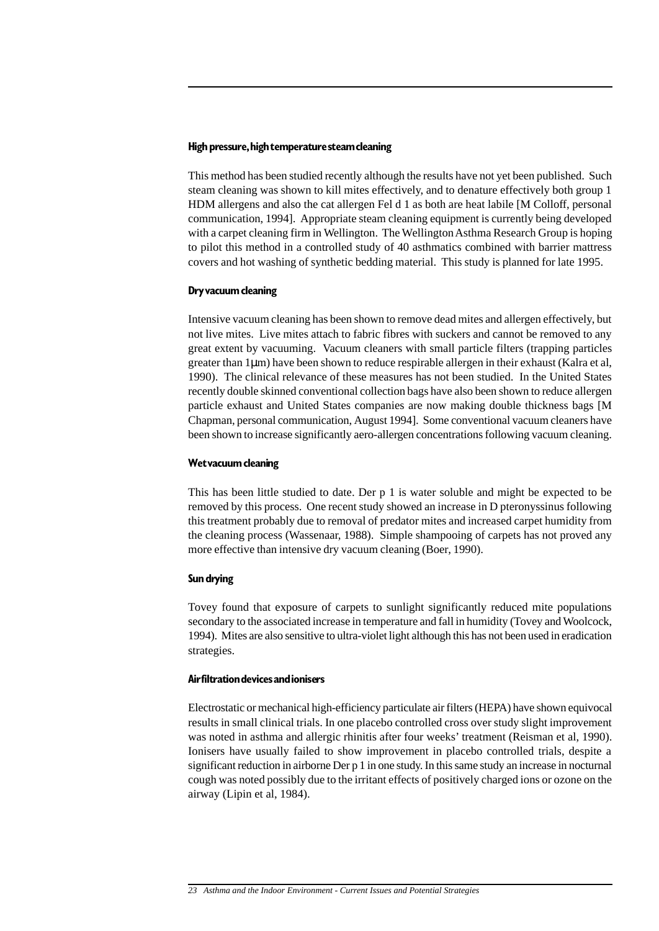### **High pressure, high temperature steam cleaning**

This method has been studied recently although the results have not yet been published. Such steam cleaning was shown to kill mites effectively, and to denature effectively both group 1 HDM allergens and also the cat allergen Fel d 1 as both are heat labile [M Colloff, personal communication, 1994]. Appropriate steam cleaning equipment is currently being developed with a carpet cleaning firm in Wellington. The Wellington Asthma Research Group is hoping to pilot this method in a controlled study of 40 asthmatics combined with barrier mattress covers and hot washing of synthetic bedding material. This study is planned for late 1995.

### **Dry vacuum cleaning**

Intensive vacuum cleaning has been shown to remove dead mites and allergen effectively, but not live mites. Live mites attach to fabric fibres with suckers and cannot be removed to any great extent by vacuuming. Vacuum cleaners with small particle filters (trapping particles greater than 1µm) have been shown to reduce respirable allergen in their exhaust (Kalra et al, 1990). The clinical relevance of these measures has not been studied. In the United States recently double skinned conventional collection bags have also been shown to reduce allergen particle exhaust and United States companies are now making double thickness bags [M Chapman, personal communication, August 1994]. Some conventional vacuum cleaners have been shown to increase significantly aero-allergen concentrations following vacuum cleaning.

### **Wet vacuum cleaning**

This has been little studied to date. Der p 1 is water soluble and might be expected to be removed by this process. One recent study showed an increase in D pteronyssinus following this treatment probably due to removal of predator mites and increased carpet humidity from the cleaning process (Wassenaar, 1988). Simple shampooing of carpets has not proved any more effective than intensive dry vacuum cleaning (Boer, 1990).

### **Sun drying**

Tovey found that exposure of carpets to sunlight significantly reduced mite populations secondary to the associated increase in temperature and fall in humidity (Tovey and Woolcock, 1994). Mites are also sensitive to ultra-violet light although this has not been used in eradication strategies.

### **Air filtration devices and ionisers**

Electrostatic or mechanical high-efficiency particulate air filters (HEPA) have shown equivocal results in small clinical trials. In one placebo controlled cross over study slight improvement was noted in asthma and allergic rhinitis after four weeks' treatment (Reisman et al, 1990). Ionisers have usually failed to show improvement in placebo controlled trials, despite a significant reduction in airborne Der p 1 in one study. In this same study an increase in nocturnal cough was noted possibly due to the irritant effects of positively charged ions or ozone on the airway (Lipin et al, 1984).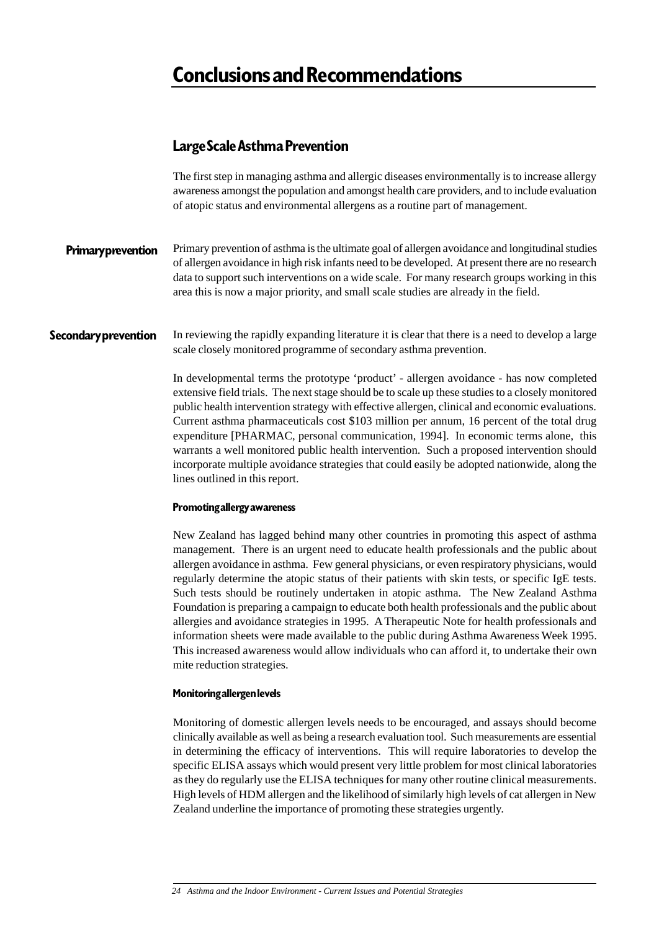# **Conclusions and Recommendations**

## **Large Scale Asthma Prevention**

The first step in managing asthma and allergic diseases environmentally is to increase allergy awareness amongst the population and amongst health care providers, and to include evaluation of atopic status and environmental allergens as a routine part of management.

Primary prevention of asthma is the ultimate goal of allergen avoidance and longitudinal studies of allergen avoidance in high risk infants need to be developed. At present there are no research data to support such interventions on a wide scale. For many research groups working in this area this is now a major priority, and small scale studies are already in the field. **Primary prevention**

In reviewing the rapidly expanding literature it is clear that there is a need to develop a large scale closely monitored programme of secondary asthma prevention. **Secondary prevention**

> In developmental terms the prototype 'product' - allergen avoidance - has now completed extensive field trials. The next stage should be to scale up these studies to a closely monitored public health intervention strategy with effective allergen, clinical and economic evaluations. Current asthma pharmaceuticals cost \$103 million per annum, 16 percent of the total drug expenditure [PHARMAC, personal communication, 1994]. In economic terms alone, this warrants a well monitored public health intervention. Such a proposed intervention should incorporate multiple avoidance strategies that could easily be adopted nationwide, along the lines outlined in this report.

### **Promoting allergy awareness**

New Zealand has lagged behind many other countries in promoting this aspect of asthma management. There is an urgent need to educate health professionals and the public about allergen avoidance in asthma. Few general physicians, or even respiratory physicians, would regularly determine the atopic status of their patients with skin tests, or specific IgE tests. Such tests should be routinely undertaken in atopic asthma. The New Zealand Asthma Foundation is preparing a campaign to educate both health professionals and the public about allergies and avoidance strategies in 1995. A Therapeutic Note for health professionals and information sheets were made available to the public during Asthma Awareness Week 1995. This increased awareness would allow individuals who can afford it, to undertake their own mite reduction strategies.

### **Monitoring allergen levels**

Monitoring of domestic allergen levels needs to be encouraged, and assays should become clinically available as well as being a research evaluation tool. Such measurements are essential in determining the efficacy of interventions. This will require laboratories to develop the specific ELISA assays which would present very little problem for most clinical laboratories as they do regularly use the ELISA techniques for many other routine clinical measurements. High levels of HDM allergen and the likelihood of similarly high levels of cat allergen in New Zealand underline the importance of promoting these strategies urgently.

*<sup>24</sup> Asthma and the Indoor Environment - Current Issues and Potential Strategies*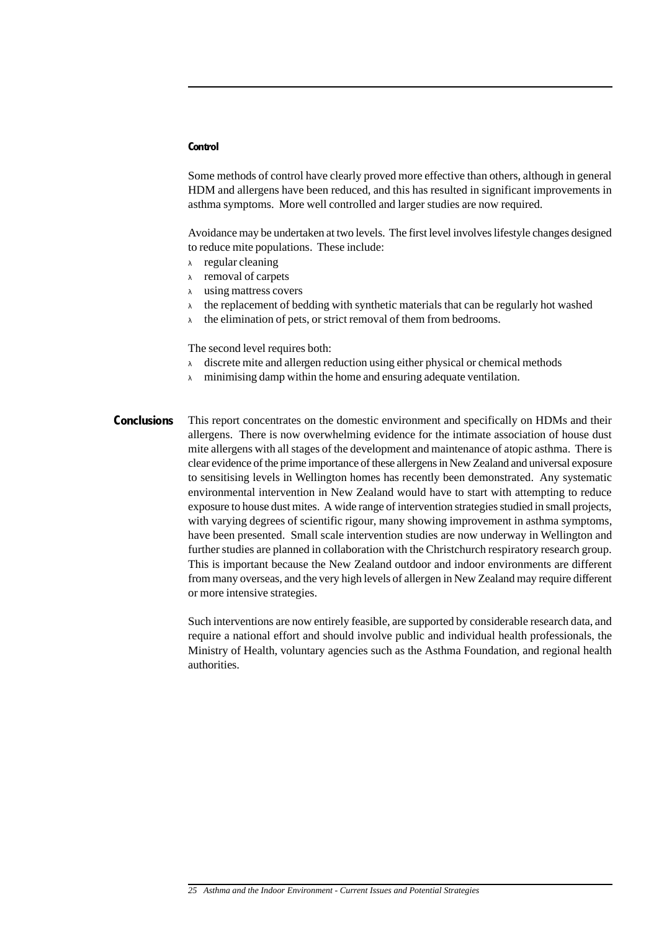### **Control**

Some methods of control have clearly proved more effective than others, although in general HDM and allergens have been reduced, and this has resulted in significant improvements in asthma symptoms. More well controlled and larger studies are now required.

Avoidance may be undertaken at two levels. The first level involves lifestyle changes designed to reduce mite populations. These include:

- <sup>λ</sup> regular cleaning
- <sup>λ</sup> removal of carpets
- <sup>λ</sup> using mattress covers
- $\lambda$  the replacement of bedding with synthetic materials that can be regularly hot washed
- $\lambda$  the elimination of pets, or strict removal of them from bedrooms.

The second level requires both:

- $\lambda$  discrete mite and allergen reduction using either physical or chemical methods
- $\lambda$  minimising damp within the home and ensuring adequate ventilation.
- This report concentrates on the domestic environment and specifically on HDMs and their allergens. There is now overwhelming evidence for the intimate association of house dust mite allergens with all stages of the development and maintenance of atopic asthma. There is clear evidence of the prime importance of these allergens in New Zealand and universal exposure to sensitising levels in Wellington homes has recently been demonstrated. Any systematic environmental intervention in New Zealand would have to start with attempting to reduce exposure to house dust mites. A wide range of intervention strategies studied in small projects, with varying degrees of scientific rigour, many showing improvement in asthma symptoms, have been presented. Small scale intervention studies are now underway in Wellington and further studies are planned in collaboration with the Christchurch respiratory research group. This is important because the New Zealand outdoor and indoor environments are different from many overseas, and the very high levels of allergen in New Zealand may require different or more intensive strategies. **Conclusions**

Such interventions are now entirely feasible, are supported by considerable research data, and require a national effort and should involve public and individual health professionals, the Ministry of Health, voluntary agencies such as the Asthma Foundation, and regional health authorities.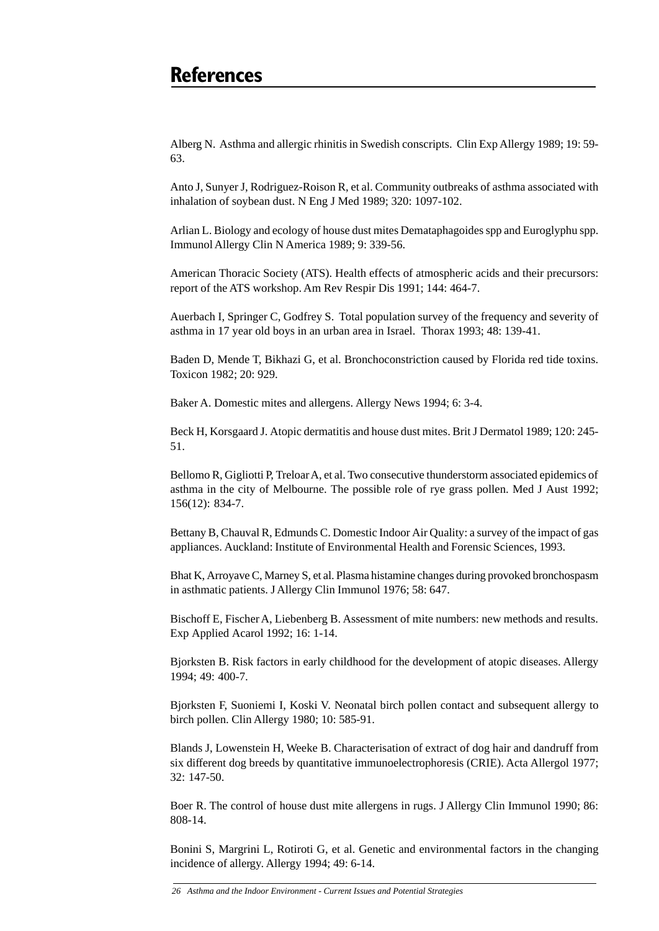# **References**

Alberg N. Asthma and allergic rhinitis in Swedish conscripts. Clin Exp Allergy 1989; 19: 59- 63.

Anto J, Sunyer J, Rodriguez-Roison R, et al. Community outbreaks of asthma associated with inhalation of soybean dust. N Eng J Med 1989; 320: 1097-102.

Arlian L. Biology and ecology of house dust mites Demataphagoides spp and Euroglyphu spp. Immunol Allergy Clin N America 1989; 9: 339-56.

American Thoracic Society (ATS). Health effects of atmospheric acids and their precursors: report of the ATS workshop. Am Rev Respir Dis 1991; 144: 464-7.

Auerbach I, Springer C, Godfrey S. Total population survey of the frequency and severity of asthma in 17 year old boys in an urban area in Israel. Thorax 1993; 48: 139-41.

Baden D, Mende T, Bikhazi G, et al. Bronchoconstriction caused by Florida red tide toxins. Toxicon 1982; 20: 929.

Baker A. Domestic mites and allergens. Allergy News 1994; 6: 3-4.

Beck H, Korsgaard J. Atopic dermatitis and house dust mites. Brit J Dermatol 1989; 120: 245- 51.

Bellomo R, Gigliotti P, Treloar A, et al. Two consecutive thunderstorm associated epidemics of asthma in the city of Melbourne. The possible role of rye grass pollen. Med J Aust 1992; 156(12): 834-7.

Bettany B, Chauval R, Edmunds C. Domestic Indoor Air Quality: a survey of the impact of gas appliances. Auckland: Institute of Environmental Health and Forensic Sciences, 1993.

Bhat K, Arroyave C, Marney S, et al. Plasma histamine changes during provoked bronchospasm in asthmatic patients. J Allergy Clin Immunol 1976; 58: 647.

Bischoff E, Fischer A, Liebenberg B. Assessment of mite numbers: new methods and results. Exp Applied Acarol 1992; 16: 1-14.

Bjorksten B. Risk factors in early childhood for the development of atopic diseases. Allergy 1994; 49: 400-7.

Bjorksten F, Suoniemi I, Koski V. Neonatal birch pollen contact and subsequent allergy to birch pollen. Clin Allergy 1980; 10: 585-91.

Blands J, Lowenstein H, Weeke B. Characterisation of extract of dog hair and dandruff from six different dog breeds by quantitative immunoelectrophoresis (CRIE). Acta Allergol 1977; 32: 147-50.

Boer R. The control of house dust mite allergens in rugs. J Allergy Clin Immunol 1990; 86: 808-14.

Bonini S, Margrini L, Rotiroti G, et al. Genetic and environmental factors in the changing incidence of allergy. Allergy 1994; 49: 6-14.

*<sup>26</sup> Asthma and the Indoor Environment - Current Issues and Potential Strategies*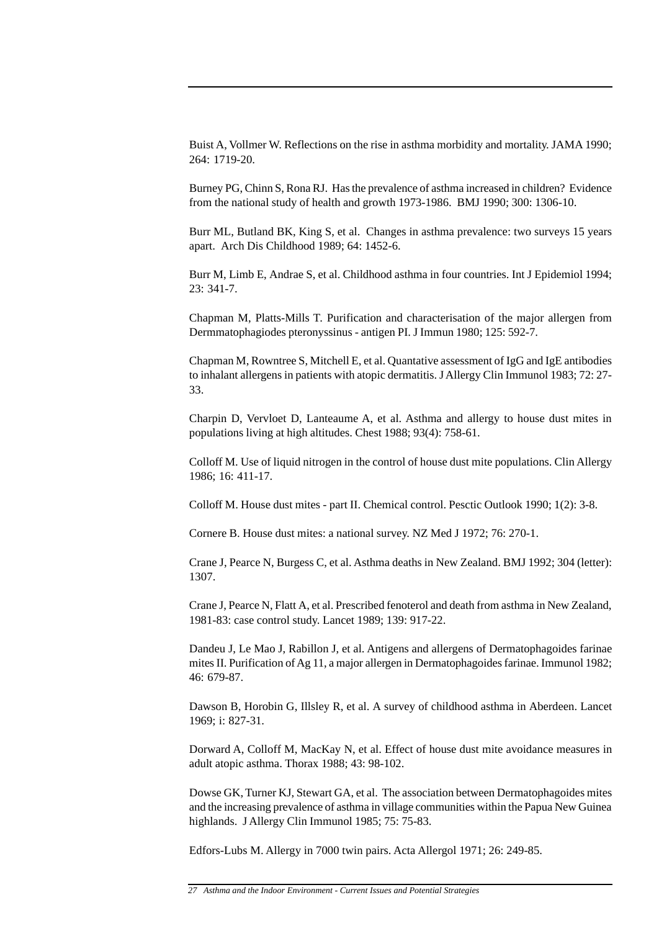Buist A, Vollmer W. Reflections on the rise in asthma morbidity and mortality. JAMA 1990; 264: 1719-20.

Burney PG, Chinn S, Rona RJ. Has the prevalence of asthma increased in children? Evidence from the national study of health and growth 1973-1986. BMJ 1990; 300: 1306-10.

Burr ML, Butland BK, King S, et al. Changes in asthma prevalence: two surveys 15 years apart. Arch Dis Childhood 1989; 64: 1452-6.

Burr M, Limb E, Andrae S, et al. Childhood asthma in four countries. Int J Epidemiol 1994; 23: 341-7.

Chapman M, Platts-Mills T. Purification and characterisation of the major allergen from Dermmatophagiodes pteronyssinus - antigen PI. J Immun 1980; 125: 592-7.

Chapman M, Rowntree S, Mitchell E, et al. Quantative assessment of IgG and IgE antibodies to inhalant allergens in patients with atopic dermatitis. J Allergy Clin Immunol 1983; 72: 27- 33.

Charpin D, Vervloet D, Lanteaume A, et al. Asthma and allergy to house dust mites in populations living at high altitudes. Chest 1988; 93(4): 758-61.

Colloff M. Use of liquid nitrogen in the control of house dust mite populations. Clin Allergy 1986; 16: 411-17.

Colloff M. House dust mites - part II. Chemical control. Pesctic Outlook 1990; 1(2): 3-8.

Cornere B. House dust mites: a national survey. NZ Med J 1972; 76: 270-1.

Crane J, Pearce N, Burgess C, et al. Asthma deaths in New Zealand. BMJ 1992; 304 (letter): 1307.

Crane J, Pearce N, Flatt A, et al. Prescribed fenoterol and death from asthma in New Zealand, 1981-83: case control study. Lancet 1989; 139: 917-22.

Dandeu J, Le Mao J, Rabillon J, et al. Antigens and allergens of Dermatophagoides farinae mites II. Purification of Ag 11, a major allergen in Dermatophagoides farinae. Immunol 1982; 46: 679-87.

Dawson B, Horobin G, Illsley R, et al. A survey of childhood asthma in Aberdeen. Lancet 1969; i: 827-31.

Dorward A, Colloff M, MacKay N, et al. Effect of house dust mite avoidance measures in adult atopic asthma. Thorax 1988; 43: 98-102.

Dowse GK, Turner KJ, Stewart GA, et al. The association between Dermatophagoides mites and the increasing prevalence of asthma in village communities within the Papua New Guinea highlands. J Allergy Clin Immunol 1985; 75: 75-83.

Edfors-Lubs M. Allergy in 7000 twin pairs. Acta Allergol 1971; 26: 249-85.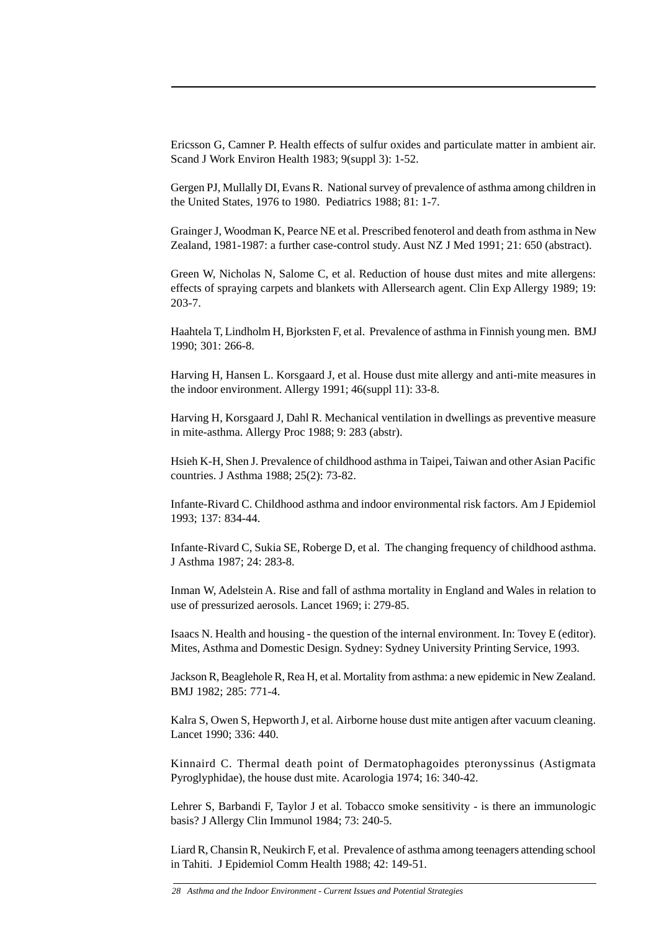Ericsson G, Camner P. Health effects of sulfur oxides and particulate matter in ambient air. Scand J Work Environ Health 1983; 9(suppl 3): 1-52.

Gergen PJ, Mullally DI, Evans R. National survey of prevalence of asthma among children in the United States, 1976 to 1980. Pediatrics 1988; 81: 1-7.

Grainger J, Woodman K, Pearce NE et al. Prescribed fenoterol and death from asthma in New Zealand, 1981-1987: a further case-control study. Aust NZ J Med 1991; 21: 650 (abstract).

Green W, Nicholas N, Salome C, et al. Reduction of house dust mites and mite allergens: effects of spraying carpets and blankets with Allersearch agent. Clin Exp Allergy 1989; 19: 203-7.

Haahtela T, Lindholm H, Bjorksten F, et al. Prevalence of asthma in Finnish young men. BMJ 1990; 301: 266-8.

Harving H, Hansen L. Korsgaard J, et al. House dust mite allergy and anti-mite measures in the indoor environment. Allergy 1991; 46(suppl 11): 33-8.

Harving H, Korsgaard J, Dahl R. Mechanical ventilation in dwellings as preventive measure in mite-asthma. Allergy Proc 1988; 9: 283 (abstr).

Hsieh K-H, Shen J. Prevalence of childhood asthma in Taipei, Taiwan and other Asian Pacific countries. J Asthma 1988; 25(2): 73-82.

Infante-Rivard C. Childhood asthma and indoor environmental risk factors. Am J Epidemiol 1993; 137: 834-44.

Infante-Rivard C, Sukia SE, Roberge D, et al. The changing frequency of childhood asthma. J Asthma 1987; 24: 283-8.

Inman W, Adelstein A. Rise and fall of asthma mortality in England and Wales in relation to use of pressurized aerosols. Lancet 1969; i: 279-85.

Isaacs N. Health and housing - the question of the internal environment. In: Tovey E (editor). Mites, Asthma and Domestic Design. Sydney: Sydney University Printing Service, 1993.

Jackson R, Beaglehole R, Rea H, et al. Mortality from asthma: a new epidemic in New Zealand. BMJ 1982; 285: 771-4.

Kalra S, Owen S, Hepworth J, et al. Airborne house dust mite antigen after vacuum cleaning. Lancet 1990; 336: 440.

Kinnaird C. Thermal death point of Dermatophagoides pteronyssinus (Astigmata Pyroglyphidae), the house dust mite. Acarologia 1974; 16: 340-42.

Lehrer S, Barbandi F, Taylor J et al. Tobacco smoke sensitivity - is there an immunologic basis? J Allergy Clin Immunol 1984; 73: 240-5.

Liard R, Chansin R, Neukirch F, et al. Prevalence of asthma among teenagers attending school in Tahiti. J Epidemiol Comm Health 1988; 42: 149-51.

*<sup>28</sup> Asthma and the Indoor Environment - Current Issues and Potential Strategies*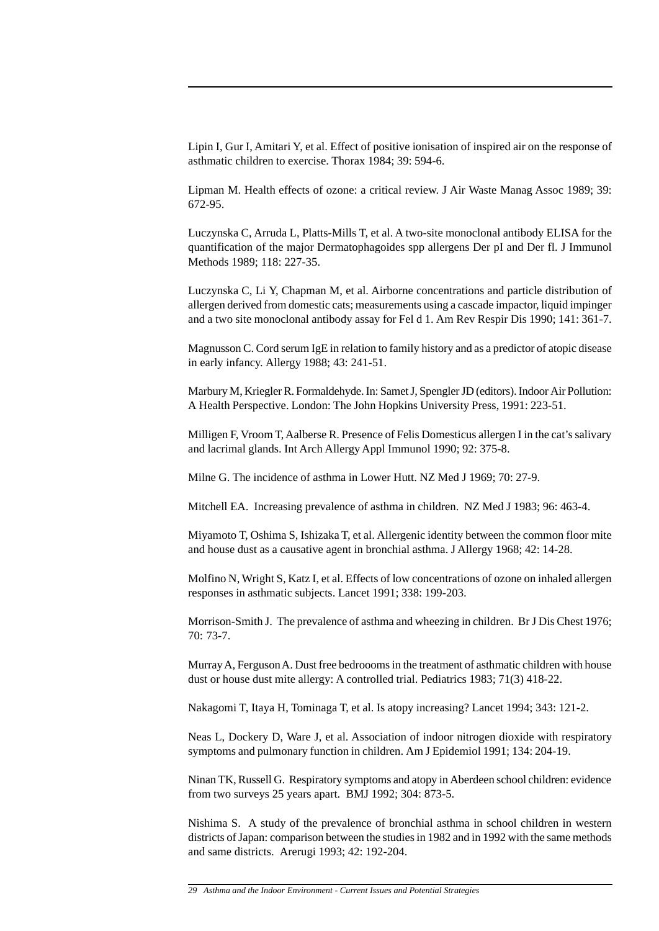Lipin I, Gur I, Amitari Y, et al. Effect of positive ionisation of inspired air on the response of asthmatic children to exercise. Thorax 1984; 39: 594-6.

Lipman M. Health effects of ozone: a critical review. J Air Waste Manag Assoc 1989; 39: 672-95.

Luczynska C, Arruda L, Platts-Mills T, et al. A two-site monoclonal antibody ELISA for the quantification of the major Dermatophagoides spp allergens Der pI and Der fl. J Immunol Methods 1989; 118: 227-35.

Luczynska C, Li Y, Chapman M, et al. Airborne concentrations and particle distribution of allergen derived from domestic cats; measurements using a cascade impactor, liquid impinger and a two site monoclonal antibody assay for Fel d 1. Am Rev Respir Dis 1990; 141: 361-7.

Magnusson C. Cord serum IgE in relation to family history and as a predictor of atopic disease in early infancy. Allergy 1988; 43: 241-51.

Marbury M, Kriegler R. Formaldehyde. In: Samet J, Spengler JD (editors). Indoor Air Pollution: A Health Perspective. London: The John Hopkins University Press, 1991: 223-51.

Milligen F, Vroom T, Aalberse R. Presence of Felis Domesticus allergen I in the cat's salivary and lacrimal glands. Int Arch Allergy Appl Immunol 1990; 92: 375-8.

Milne G. The incidence of asthma in Lower Hutt. NZ Med J 1969; 70: 27-9.

Mitchell EA. Increasing prevalence of asthma in children. NZ Med J 1983; 96: 463-4.

Miyamoto T, Oshima S, Ishizaka T, et al. Allergenic identity between the common floor mite and house dust as a causative agent in bronchial asthma. J Allergy 1968; 42: 14-28.

Molfino N, Wright S, Katz I, et al. Effects of low concentrations of ozone on inhaled allergen responses in asthmatic subjects. Lancet 1991; 338: 199-203.

Morrison-Smith J. The prevalence of asthma and wheezing in children. Br J Dis Chest 1976; 70: 73-7.

Murray A, Ferguson A. Dust free bedroooms in the treatment of asthmatic children with house dust or house dust mite allergy: A controlled trial. Pediatrics 1983; 71(3) 418-22.

Nakagomi T, Itaya H, Tominaga T, et al. Is atopy increasing? Lancet 1994; 343: 121-2.

Neas L, Dockery D, Ware J, et al. Association of indoor nitrogen dioxide with respiratory symptoms and pulmonary function in children. Am J Epidemiol 1991; 134: 204-19.

Ninan TK, Russell G. Respiratory symptoms and atopy in Aberdeen school children: evidence from two surveys 25 years apart. BMJ 1992; 304: 873-5.

Nishima S. A study of the prevalence of bronchial asthma in school children in western districts of Japan: comparison between the studies in 1982 and in 1992 with the same methods and same districts. Arerugi 1993; 42: 192-204.

*<sup>29</sup> Asthma and the Indoor Environment - Current Issues and Potential Strategies*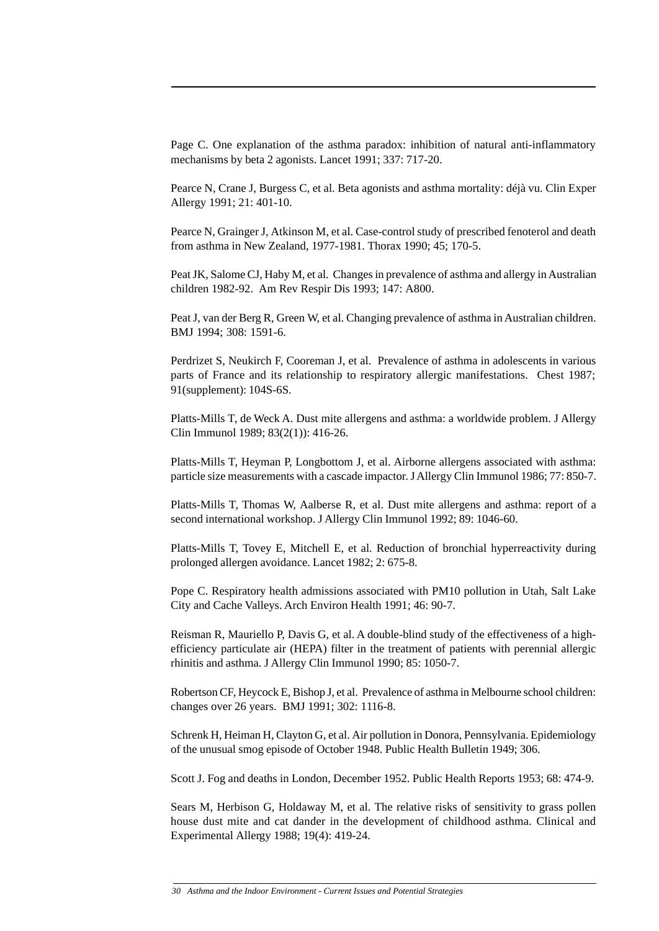Page C. One explanation of the asthma paradox: inhibition of natural anti-inflammatory mechanisms by beta 2 agonists. Lancet 1991; 337: 717-20.

Pearce N, Crane J, Burgess C, et al. Beta agonists and asthma mortality: déjà vu. Clin Exper Allergy 1991; 21: 401-10.

Pearce N, Grainger J, Atkinson M, et al. Case-control study of prescribed fenoterol and death from asthma in New Zealand, 1977-1981. Thorax 1990; 45; 170-5.

Peat JK, Salome CJ, Haby M, et al. Changes in prevalence of asthma and allergy in Australian children 1982-92. Am Rev Respir Dis 1993; 147: A800.

Peat J, van der Berg R, Green W, et al. Changing prevalence of asthma in Australian children. BMJ 1994; 308: 1591-6.

Perdrizet S, Neukirch F, Cooreman J, et al. Prevalence of asthma in adolescents in various parts of France and its relationship to respiratory allergic manifestations. Chest 1987; 91(supplement): 104S-6S.

Platts-Mills T, de Weck A. Dust mite allergens and asthma: a worldwide problem. J Allergy Clin Immunol 1989; 83(2(1)): 416-26.

Platts-Mills T, Heyman P, Longbottom J, et al. Airborne allergens associated with asthma: particle size measurements with a cascade impactor. J Allergy Clin Immunol 1986; 77: 850-7.

Platts-Mills T, Thomas W, Aalberse R, et al. Dust mite allergens and asthma: report of a second international workshop. J Allergy Clin Immunol 1992; 89: 1046-60.

Platts-Mills T, Tovey E, Mitchell E, et al. Reduction of bronchial hyperreactivity during prolonged allergen avoidance. Lancet 1982; 2: 675-8.

Pope C. Respiratory health admissions associated with PM10 pollution in Utah, Salt Lake City and Cache Valleys. Arch Environ Health 1991; 46: 90-7.

Reisman R, Mauriello P, Davis G, et al. A double-blind study of the effectiveness of a highefficiency particulate air (HEPA) filter in the treatment of patients with perennial allergic rhinitis and asthma. J Allergy Clin Immunol 1990; 85: 1050-7.

Robertson CF, Heycock E, Bishop J, et al. Prevalence of asthma in Melbourne school children: changes over 26 years. BMJ 1991; 302: 1116-8.

Schrenk H, Heiman H, Clayton G, et al. Air pollution in Donora, Pennsylvania. Epidemiology of the unusual smog episode of October 1948. Public Health Bulletin 1949; 306.

Scott J. Fog and deaths in London, December 1952. Public Health Reports 1953; 68: 474-9.

Sears M, Herbison G, Holdaway M, et al. The relative risks of sensitivity to grass pollen house dust mite and cat dander in the development of childhood asthma. Clinical and Experimental Allergy 1988; 19(4): 419-24.

*<sup>30</sup> Asthma and the Indoor Environment - Current Issues and Potential Strategies*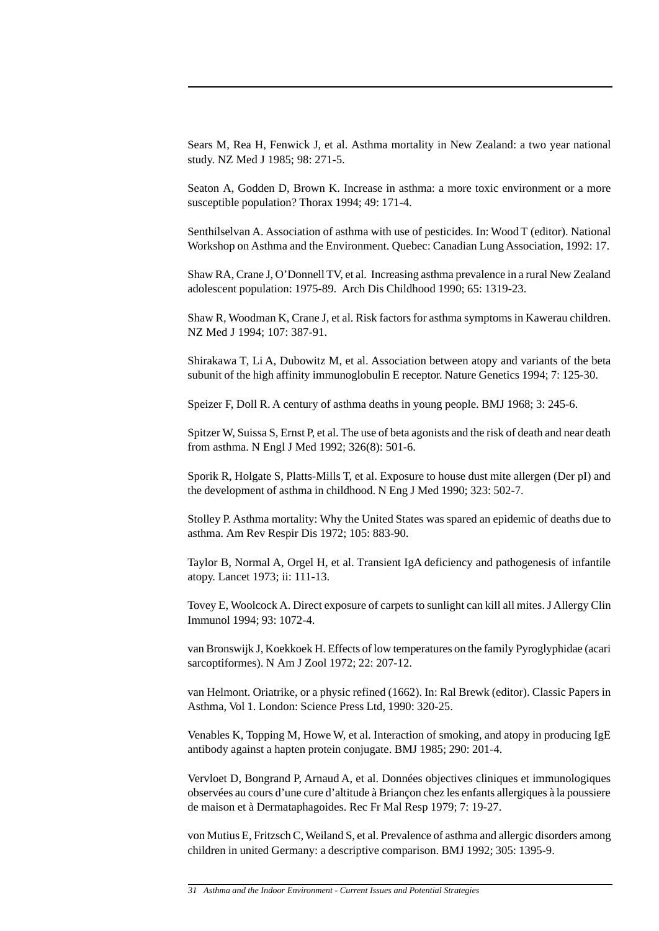Sears M, Rea H, Fenwick J, et al. Asthma mortality in New Zealand: a two year national study. NZ Med J 1985; 98: 271-5.

Seaton A, Godden D, Brown K. Increase in asthma: a more toxic environment or a more susceptible population? Thorax 1994; 49: 171-4.

Senthilselvan A. Association of asthma with use of pesticides. In: Wood T (editor). National Workshop on Asthma and the Environment. Quebec: Canadian Lung Association, 1992: 17.

Shaw RA, Crane J, O'Donnell TV, et al. Increasing asthma prevalence in a rural New Zealand adolescent population: 1975-89. Arch Dis Childhood 1990; 65: 1319-23.

Shaw R, Woodman K, Crane J, et al. Risk factors for asthma symptoms in Kawerau children. NZ Med J 1994; 107: 387-91.

Shirakawa T, Li A, Dubowitz M, et al. Association between atopy and variants of the beta subunit of the high affinity immunoglobulin E receptor. Nature Genetics 1994; 7: 125-30.

Speizer F, Doll R. A century of asthma deaths in young people. BMJ 1968; 3: 245-6.

Spitzer W, Suissa S, Ernst P, et al. The use of beta agonists and the risk of death and near death from asthma. N Engl J Med 1992; 326(8): 501-6.

Sporik R, Holgate S, Platts-Mills T, et al. Exposure to house dust mite allergen (Der pI) and the development of asthma in childhood. N Eng J Med 1990; 323: 502-7.

Stolley P. Asthma mortality: Why the United States was spared an epidemic of deaths due to asthma. Am Rev Respir Dis 1972; 105: 883-90.

Taylor B, Normal A, Orgel H, et al. Transient IgA deficiency and pathogenesis of infantile atopy. Lancet 1973; ii: 111-13.

Tovey E, Woolcock A. Direct exposure of carpets to sunlight can kill all mites. J Allergy Clin Immunol 1994; 93: 1072-4.

van Bronswijk J, Koekkoek H. Effects of low temperatures on the family Pyroglyphidae (acari sarcoptiformes). N Am J Zool 1972; 22: 207-12.

van Helmont. Oriatrike, or a physic refined (1662). In: Ral Brewk (editor). Classic Papers in Asthma, Vol 1. London: Science Press Ltd, 1990: 320-25.

Venables K, Topping M, Howe W, et al. Interaction of smoking, and atopy in producing IgE antibody against a hapten protein conjugate. BMJ 1985; 290: 201-4.

Vervloet D, Bongrand P, Arnaud A, et al. Données objectives cliniques et immunologiques observées au cours d'une cure d'altitude à Briançon chez les enfants allergiques à la poussiere de maison et à Dermataphagoides. Rec Fr Mal Resp 1979; 7: 19-27.

von Mutius E, Fritzsch C, Weiland S, et al. Prevalence of asthma and allergic disorders among children in united Germany: a descriptive comparison. BMJ 1992; 305: 1395-9.

*<sup>31</sup> Asthma and the Indoor Environment - Current Issues and Potential Strategies*